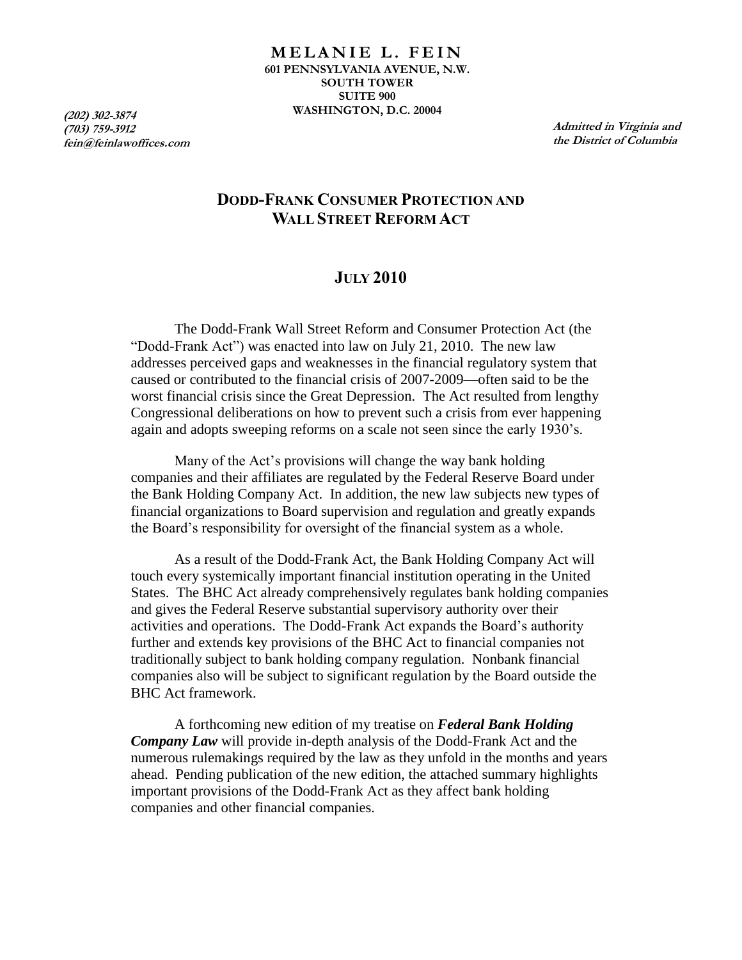**(703) 759-3912 fein@feinlawoffices.com**

**Admitted in Virginia and the District of Columbia**

# **DODD-FRANK CONSUMER PROTECTION AND WALL STREET REFORM ACT**

# **JULY 2010**

The Dodd-Frank Wall Street Reform and Consumer Protection Act (the "Dodd-Frank Act") was enacted into law on July 21, 2010. The new law addresses perceived gaps and weaknesses in the financial regulatory system that caused or contributed to the financial crisis of 2007-2009—often said to be the worst financial crisis since the Great Depression. The Act resulted from lengthy Congressional deliberations on how to prevent such a crisis from ever happening again and adopts sweeping reforms on a scale not seen since the early 1930's.

Many of the Act's provisions will change the way bank holding companies and their affiliates are regulated by the Federal Reserve Board under the Bank Holding Company Act. In addition, the new law subjects new types of financial organizations to Board supervision and regulation and greatly expands the Board's responsibility for oversight of the financial system as a whole.

As a result of the Dodd-Frank Act, the Bank Holding Company Act will touch every systemically important financial institution operating in the United States. The BHC Act already comprehensively regulates bank holding companies and gives the Federal Reserve substantial supervisory authority over their activities and operations. The Dodd-Frank Act expands the Board's authority further and extends key provisions of the BHC Act to financial companies not traditionally subject to bank holding company regulation. Nonbank financial companies also will be subject to significant regulation by the Board outside the BHC Act framework.

A forthcoming new edition of my treatise on *Federal Bank Holding Company Law* will provide in-depth analysis of the Dodd-Frank Act and the numerous rulemakings required by the law as they unfold in the months and years ahead. Pending publication of the new edition, the attached summary highlights important provisions of the Dodd-Frank Act as they affect bank holding companies and other financial companies.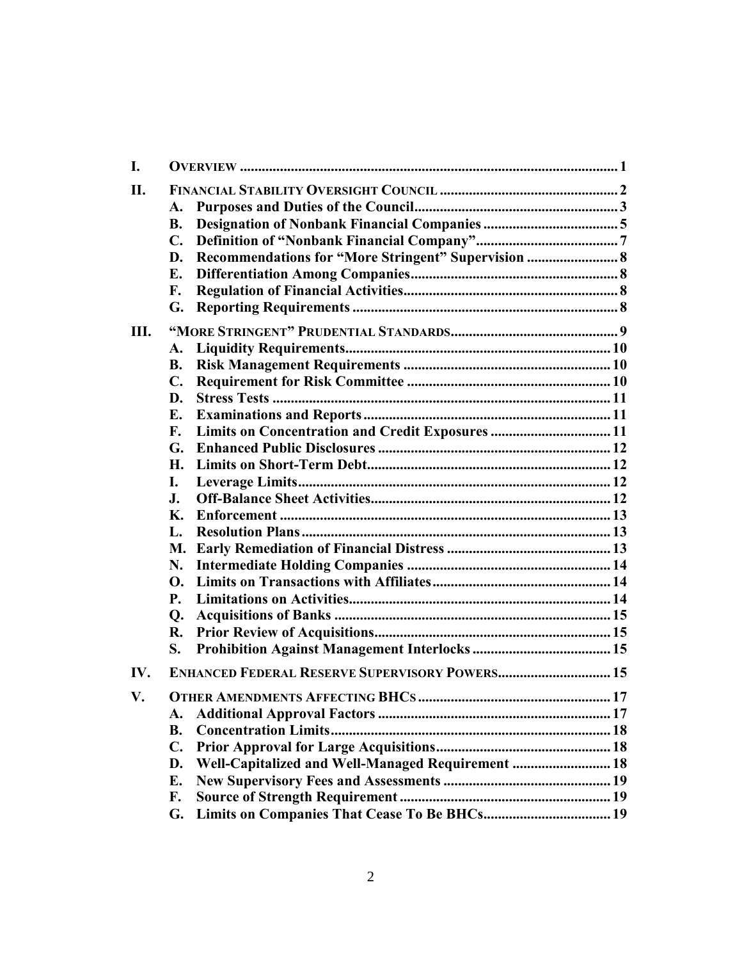| I.  |                                                           |  |
|-----|-----------------------------------------------------------|--|
| II. |                                                           |  |
|     | A.                                                        |  |
|     | <b>B.</b>                                                 |  |
|     | C.                                                        |  |
|     | Recommendations for "More Stringent" Supervision  8<br>D. |  |
|     | E.                                                        |  |
|     | F.                                                        |  |
|     | G.                                                        |  |
| Ш.  |                                                           |  |
|     | A.                                                        |  |
|     | <b>B.</b>                                                 |  |
|     | $\mathbf{C}$ .                                            |  |
|     | D.                                                        |  |
|     | Е.                                                        |  |
|     | Limits on Concentration and Credit Exposures  11<br>F.    |  |
|     | G.                                                        |  |
|     | H.                                                        |  |
|     | Ι.                                                        |  |
|     | J.                                                        |  |
|     | <b>K.</b>                                                 |  |
|     | L.                                                        |  |
|     | <b>M.</b>                                                 |  |
|     | N.                                                        |  |
|     | <b>O.</b>                                                 |  |
|     | <b>P.</b>                                                 |  |
|     |                                                           |  |
|     | Q.<br>R.                                                  |  |
|     |                                                           |  |
|     | S.                                                        |  |
| IV. | <b>ENHANCED FEDERAL RESERVE SUPERVISORY POWERS 15</b>     |  |
| V.  |                                                           |  |
|     | A.                                                        |  |
|     | <b>B.</b>                                                 |  |
|     | $C_{\bullet}$                                             |  |
|     | Well-Capitalized and Well-Managed Requirement  18<br>D.   |  |
|     | E.                                                        |  |
|     | F.                                                        |  |
|     | G.                                                        |  |
|     |                                                           |  |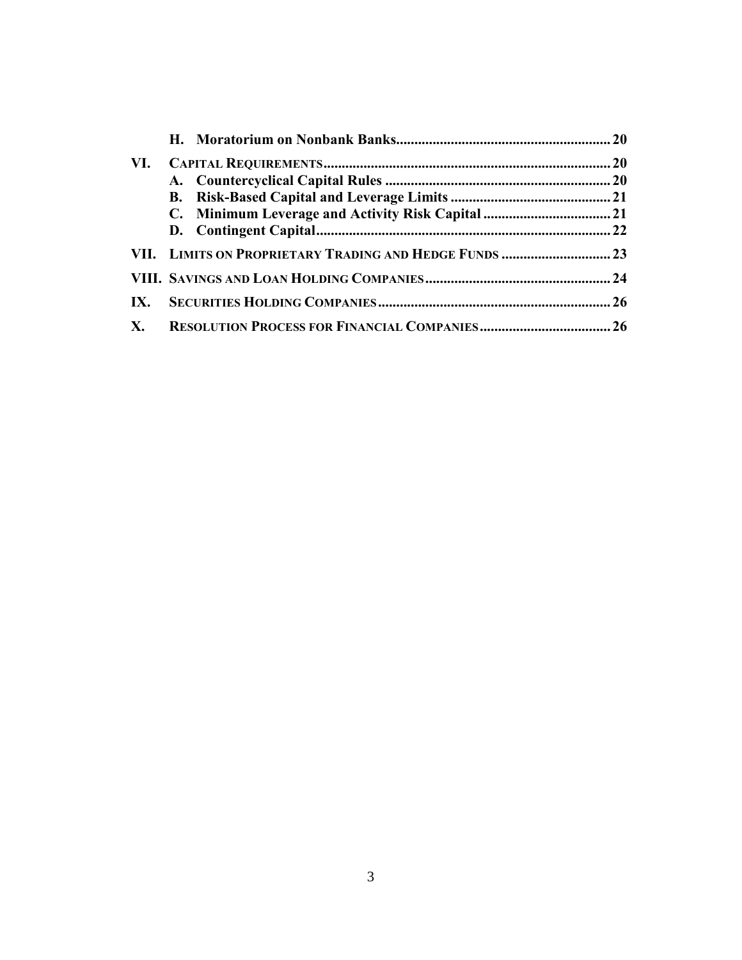| VI.             |                                                        |  |
|-----------------|--------------------------------------------------------|--|
|                 |                                                        |  |
|                 |                                                        |  |
|                 |                                                        |  |
|                 |                                                        |  |
|                 | VII. LIMITS ON PROPRIETARY TRADING AND HEDGE FUNDS  23 |  |
|                 |                                                        |  |
| $\mathbf{IX}$ . |                                                        |  |
|                 |                                                        |  |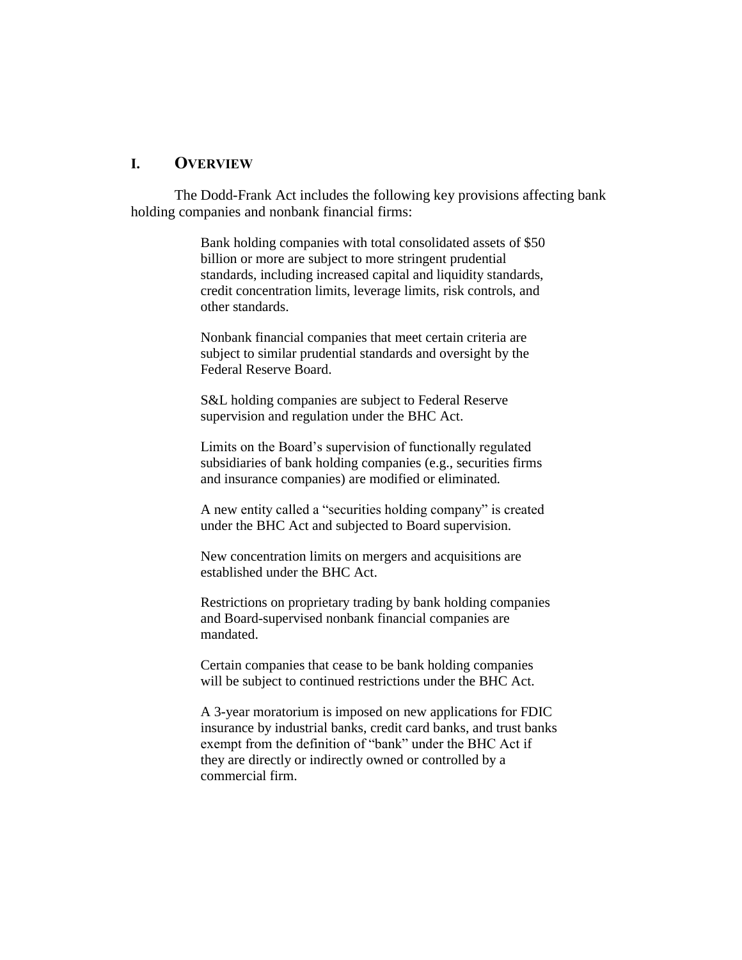# <span id="page-3-0"></span>**I. OVERVIEW**

The Dodd-Frank Act includes the following key provisions affecting bank holding companies and nonbank financial firms:

> Bank holding companies with total consolidated assets of \$50 billion or more are subject to more stringent prudential standards, including increased capital and liquidity standards, credit concentration limits, leverage limits, risk controls, and other standards.

Nonbank financial companies that meet certain criteria are subject to similar prudential standards and oversight by the Federal Reserve Board.

S&L holding companies are subject to Federal Reserve supervision and regulation under the BHC Act.

Limits on the Board's supervision of functionally regulated subsidiaries of bank holding companies (e.g., securities firms and insurance companies) are modified or eliminated.

A new entity called a "securities holding company" is created under the BHC Act and subjected to Board supervision.

New concentration limits on mergers and acquisitions are established under the BHC Act.

Restrictions on proprietary trading by bank holding companies and Board-supervised nonbank financial companies are mandated.

Certain companies that cease to be bank holding companies will be subject to continued restrictions under the BHC Act.

A 3-year moratorium is imposed on new applications for FDIC insurance by industrial banks, credit card banks, and trust banks exempt from the definition of "bank" under the BHC Act if they are directly or indirectly owned or controlled by a commercial firm.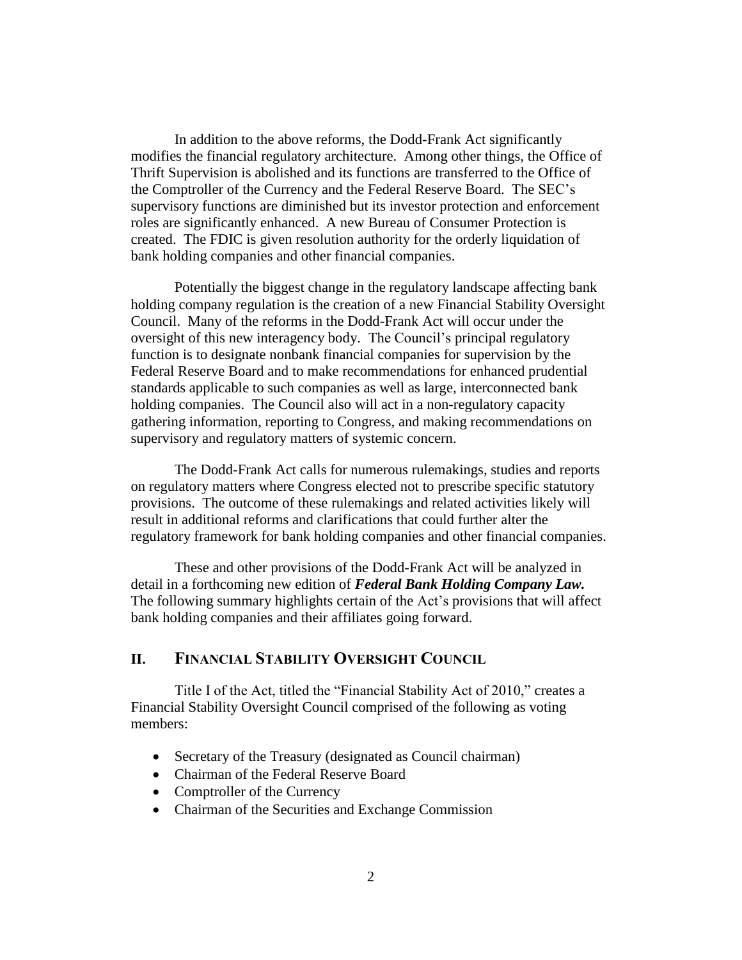In addition to the above reforms, the Dodd-Frank Act significantly modifies the financial regulatory architecture. Among other things, the Office of Thrift Supervision is abolished and its functions are transferred to the Office of the Comptroller of the Currency and the Federal Reserve Board. The SEC's supervisory functions are diminished but its investor protection and enforcement roles are significantly enhanced. A new Bureau of Consumer Protection is created. The FDIC is given resolution authority for the orderly liquidation of bank holding companies and other financial companies.

Potentially the biggest change in the regulatory landscape affecting bank holding company regulation is the creation of a new Financial Stability Oversight Council. Many of the reforms in the Dodd-Frank Act will occur under the oversight of this new interagency body. The Council's principal regulatory function is to designate nonbank financial companies for supervision by the Federal Reserve Board and to make recommendations for enhanced prudential standards applicable to such companies as well as large, interconnected bank holding companies. The Council also will act in a non-regulatory capacity gathering information, reporting to Congress, and making recommendations on supervisory and regulatory matters of systemic concern.

The Dodd-Frank Act calls for numerous rulemakings, studies and reports on regulatory matters where Congress elected not to prescribe specific statutory provisions. The outcome of these rulemakings and related activities likely will result in additional reforms and clarifications that could further alter the regulatory framework for bank holding companies and other financial companies.

These and other provisions of the Dodd-Frank Act will be analyzed in detail in a forthcoming new edition of *Federal Bank Holding Company Law.* The following summary highlights certain of the Act's provisions that will affect bank holding companies and their affiliates going forward.

# <span id="page-4-0"></span>**II. FINANCIAL STABILITY OVERSIGHT COUNCIL**

Title I of the Act, titled the "Financial Stability Act of 2010," creates a Financial Stability Oversight Council comprised of the following as voting members:

- Secretary of the Treasury (designated as Council chairman)
- Chairman of the Federal Reserve Board
- Comptroller of the Currency
- Chairman of the Securities and Exchange Commission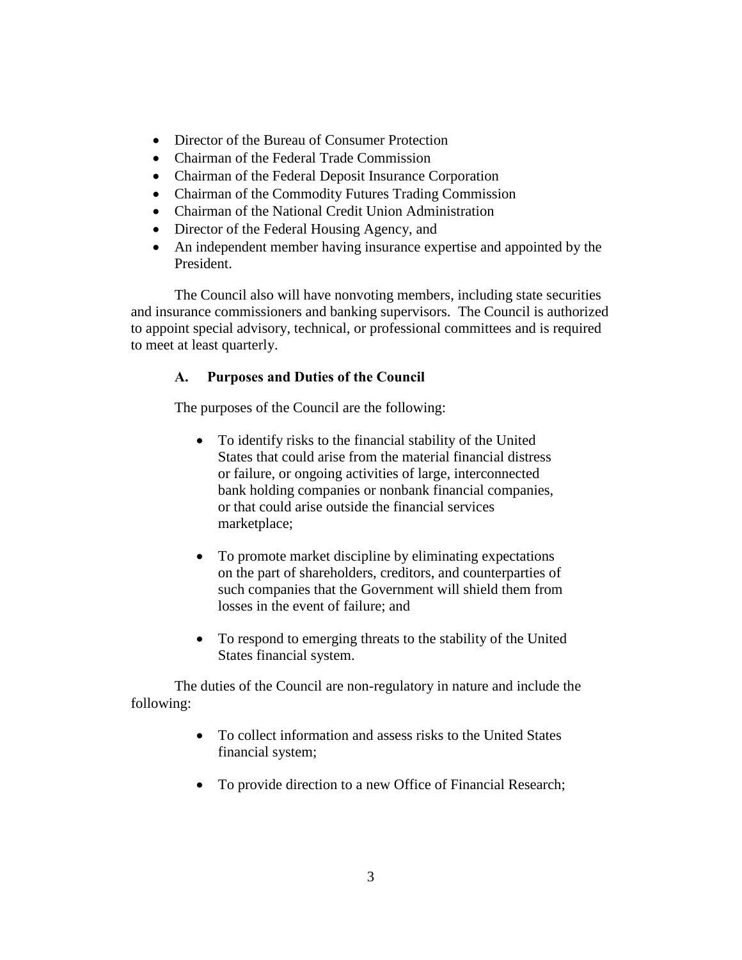- Director of the Bureau of Consumer Protection
- Chairman of the Federal Trade Commission
- Chairman of the Federal Deposit Insurance Corporation
- Chairman of the Commodity Futures Trading Commission
- Chairman of the National Credit Union Administration
- Director of the Federal Housing Agency, and
- An independent member having insurance expertise and appointed by the President.

The Council also will have nonvoting members, including state securities and insurance commissioners and banking supervisors. The Council is authorized to appoint special advisory, technical, or professional committees and is required to meet at least quarterly.

# <span id="page-5-0"></span>**A. Purposes and Duties of the Council**

The purposes of the Council are the following:

- To identify risks to the financial stability of the United States that could arise from the material financial distress or failure, or ongoing activities of large, interconnected bank holding companies or nonbank financial companies, or that could arise outside the financial services marketplace;
- To promote market discipline by eliminating expectations on the part of shareholders, creditors, and counterparties of such companies that the Government will shield them from losses in the event of failure; and
- To respond to emerging threats to the stability of the United States financial system.

The duties of the Council are non-regulatory in nature and include the following:

- To collect information and assess risks to the United States financial system;
- To provide direction to a new Office of Financial Research;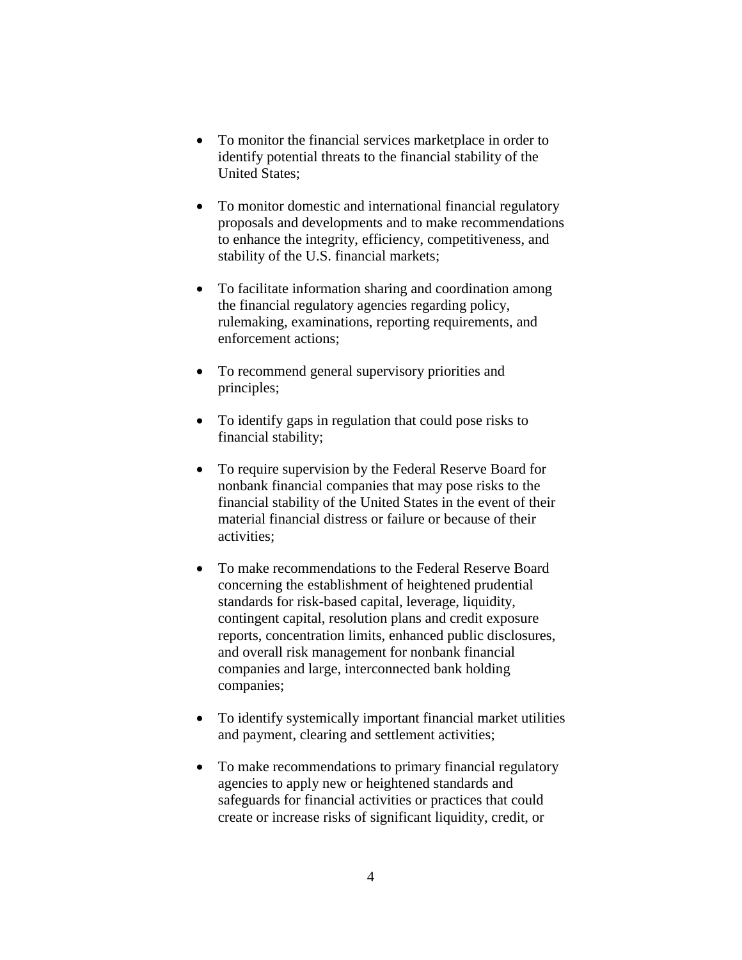- To monitor the financial services marketplace in order to identify potential threats to the financial stability of the United States;
- To monitor domestic and international financial regulatory proposals and developments and to make recommendations to enhance the integrity, efficiency, competitiveness, and stability of the U.S. financial markets;
- To facilitate information sharing and coordination among the financial regulatory agencies regarding policy, rulemaking, examinations, reporting requirements, and enforcement actions;
- To recommend general supervisory priorities and principles;
- To identify gaps in regulation that could pose risks to financial stability;
- To require supervision by the Federal Reserve Board for nonbank financial companies that may pose risks to the financial stability of the United States in the event of their material financial distress or failure or because of their activities;
- To make recommendations to the Federal Reserve Board concerning the establishment of heightened prudential standards for risk-based capital, leverage, liquidity, contingent capital, resolution plans and credit exposure reports, concentration limits, enhanced public disclosures, and overall risk management for nonbank financial companies and large, interconnected bank holding companies;
- To identify systemically important financial market utilities and payment, clearing and settlement activities;
- To make recommendations to primary financial regulatory agencies to apply new or heightened standards and safeguards for financial activities or practices that could create or increase risks of significant liquidity, credit, or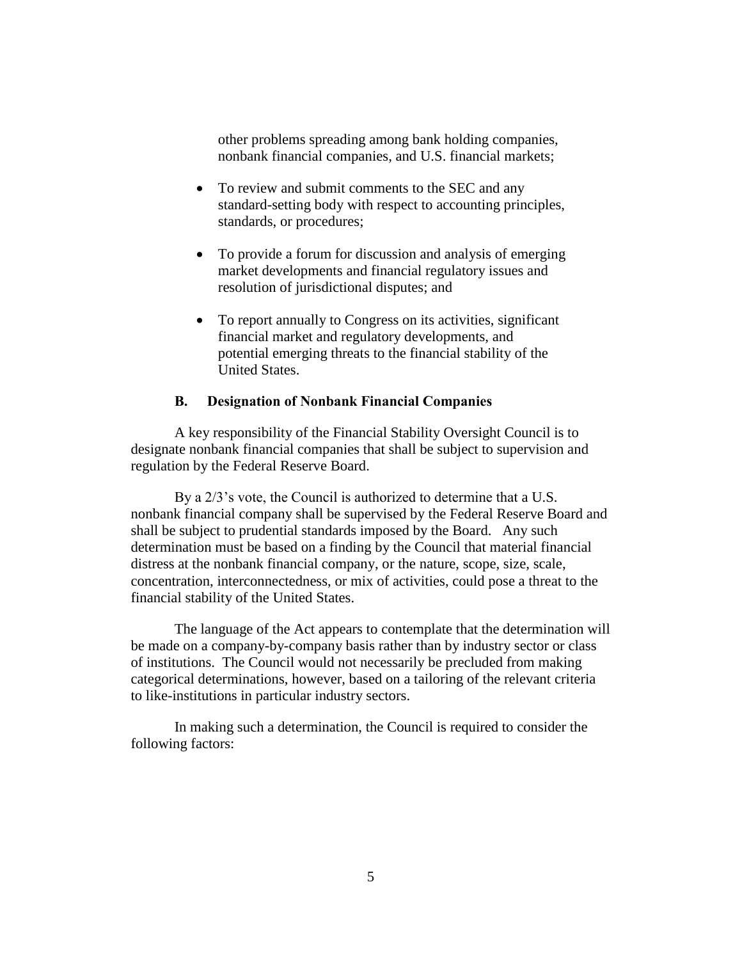other problems spreading among bank holding companies, nonbank financial companies, and U.S. financial markets;

- To review and submit comments to the SEC and any standard-setting body with respect to accounting principles, standards, or procedures;
- To provide a forum for discussion and analysis of emerging market developments and financial regulatory issues and resolution of jurisdictional disputes; and
- To report annually to Congress on its activities, significant financial market and regulatory developments, and potential emerging threats to the financial stability of the United States.

# **B. Designation of Nonbank Financial Companies**

<span id="page-7-0"></span>A key responsibility of the Financial Stability Oversight Council is to designate nonbank financial companies that shall be subject to supervision and regulation by the Federal Reserve Board.

By a 2/3's vote, the Council is authorized to determine that a U.S. nonbank financial company shall be supervised by the Federal Reserve Board and shall be subject to prudential standards imposed by the Board. Any such determination must be based on a finding by the Council that material financial distress at the nonbank financial company, or the nature, scope, size, scale, concentration, interconnectedness, or mix of activities, could pose a threat to the financial stability of the United States.

The language of the Act appears to contemplate that the determination will be made on a company-by-company basis rather than by industry sector or class of institutions. The Council would not necessarily be precluded from making categorical determinations, however, based on a tailoring of the relevant criteria to like-institutions in particular industry sectors.

In making such a determination, the Council is required to consider the following factors: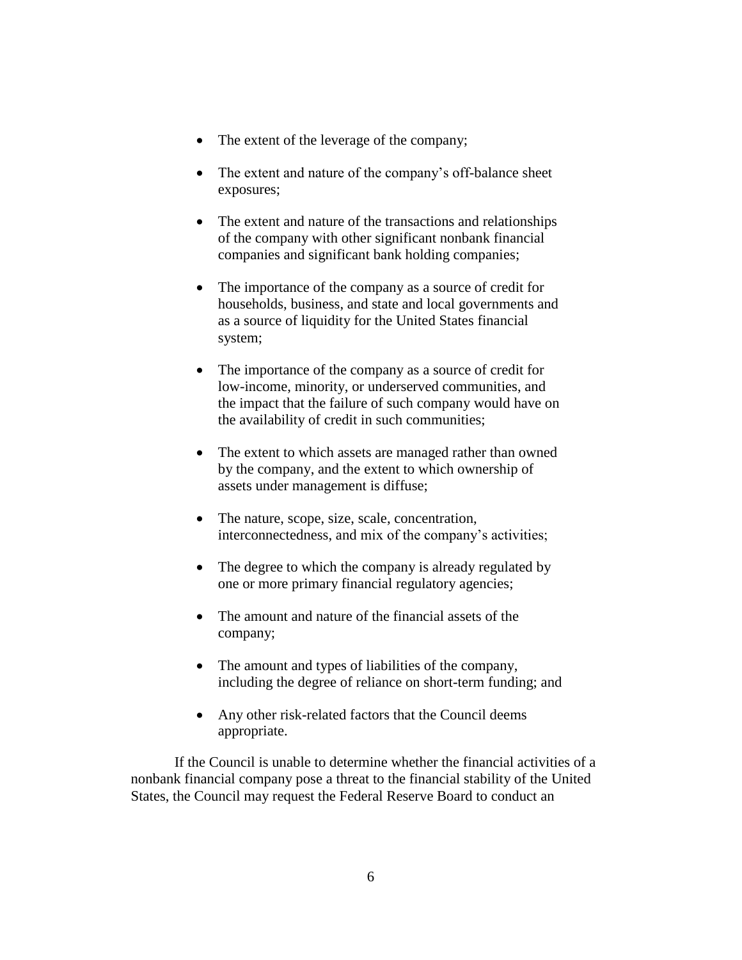- The extent of the leverage of the company;
- The extent and nature of the company's off-balance sheet exposures;
- The extent and nature of the transactions and relationships of the company with other significant nonbank financial companies and significant bank holding companies;
- The importance of the company as a source of credit for households, business, and state and local governments and as a source of liquidity for the United States financial system;
- The importance of the company as a source of credit for low-income, minority, or underserved communities, and the impact that the failure of such company would have on the availability of credit in such communities;
- The extent to which assets are managed rather than owned by the company, and the extent to which ownership of assets under management is diffuse;
- The nature, scope, size, scale, concentration, interconnectedness, and mix of the company's activities;
- The degree to which the company is already regulated by one or more primary financial regulatory agencies;
- The amount and nature of the financial assets of the company;
- The amount and types of liabilities of the company, including the degree of reliance on short-term funding; and
- Any other risk-related factors that the Council deems appropriate.

If the Council is unable to determine whether the financial activities of a nonbank financial company pose a threat to the financial stability of the United States, the Council may request the Federal Reserve Board to conduct an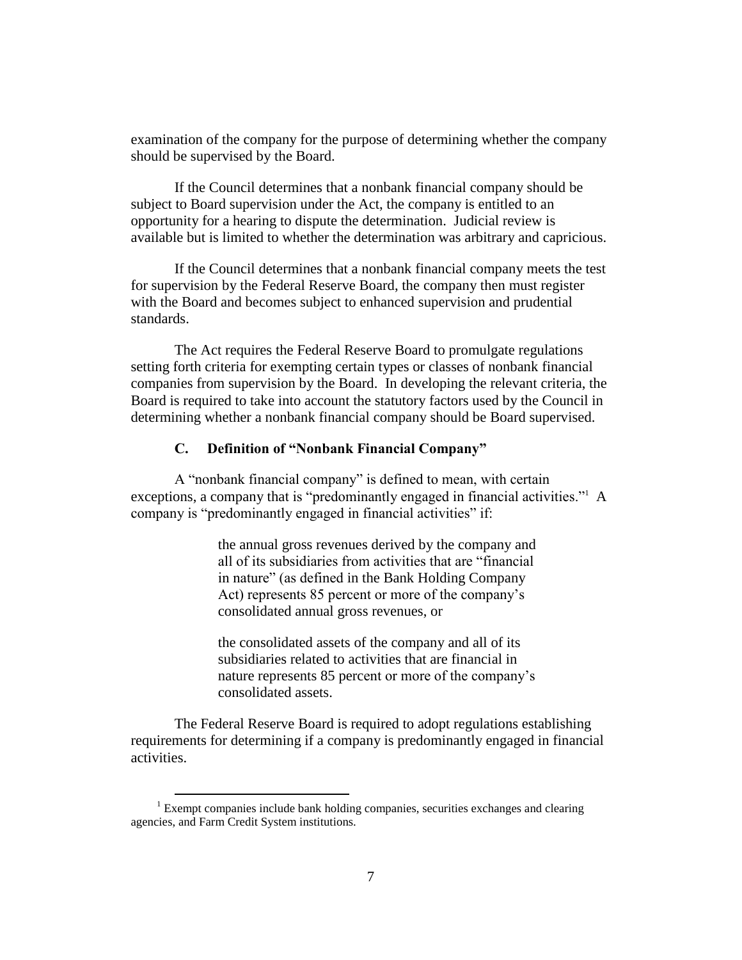examination of the company for the purpose of determining whether the company should be supervised by the Board.

If the Council determines that a nonbank financial company should be subject to Board supervision under the Act, the company is entitled to an opportunity for a hearing to dispute the determination. Judicial review is available but is limited to whether the determination was arbitrary and capricious.

If the Council determines that a nonbank financial company meets the test for supervision by the Federal Reserve Board, the company then must register with the Board and becomes subject to enhanced supervision and prudential standards.

The Act requires the Federal Reserve Board to promulgate regulations setting forth criteria for exempting certain types or classes of nonbank financial companies from supervision by the Board. In developing the relevant criteria, the Board is required to take into account the statutory factors used by the Council in determining whether a nonbank financial company should be Board supervised.

# **C. Definition of "Nonbank Financial Company"**

<span id="page-9-0"></span>A "nonbank financial company" is defined to mean, with certain exceptions, a company that is "predominantly engaged in financial activities." A company is "predominantly engaged in financial activities" if:

> the annual gross revenues derived by the company and all of its subsidiaries from activities that are "financial in nature" (as defined in the Bank Holding Company Act) represents 85 percent or more of the company's consolidated annual gross revenues, or

> the consolidated assets of the company and all of its subsidiaries related to activities that are financial in nature represents 85 percent or more of the company's consolidated assets.

The Federal Reserve Board is required to adopt regulations establishing requirements for determining if a company is predominantly engaged in financial activities.

 $\overline{a}$ 

 $1$  Exempt companies include bank holding companies, securities exchanges and clearing agencies, and Farm Credit System institutions.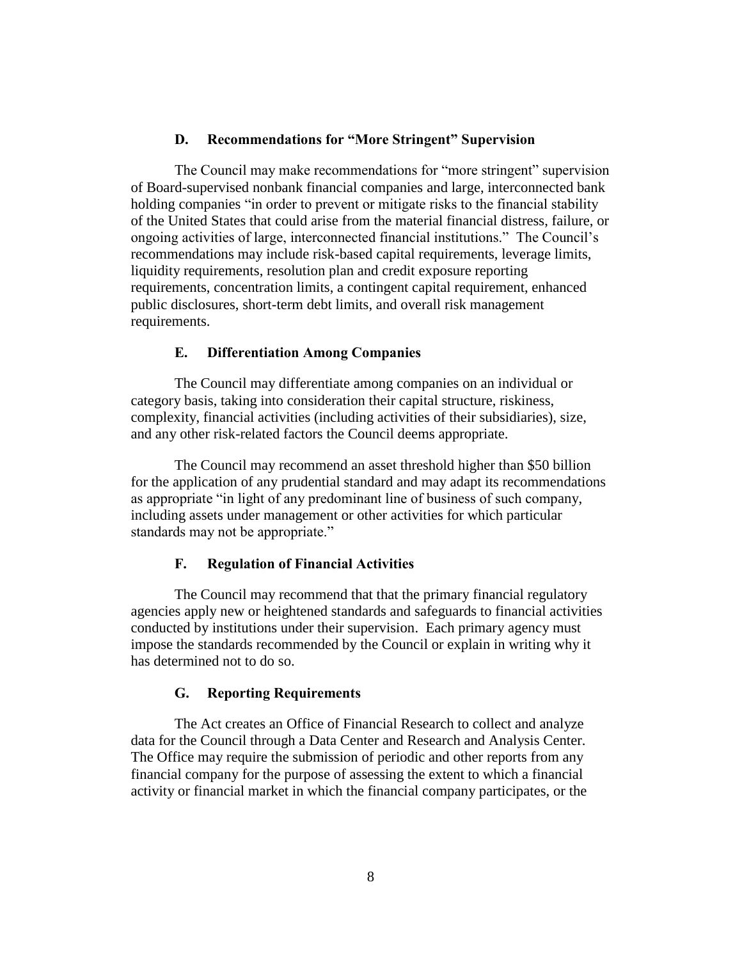# **D. Recommendations for "More Stringent" Supervision**

<span id="page-10-0"></span>The Council may make recommendations for "more stringent" supervision of Board-supervised nonbank financial companies and large, interconnected bank holding companies "in order to prevent or mitigate risks to the financial stability of the United States that could arise from the material financial distress, failure, or ongoing activities of large, interconnected financial institutions." The Council's recommendations may include risk-based capital requirements, leverage limits, liquidity requirements, resolution plan and credit exposure reporting requirements, concentration limits, a contingent capital requirement, enhanced public disclosures, short-term debt limits, and overall risk management requirements.

# <span id="page-10-1"></span>**E. Differentiation Among Companies**

The Council may differentiate among companies on an individual or category basis, taking into consideration their capital structure, riskiness, complexity, financial activities (including activities of their subsidiaries), size, and any other risk-related factors the Council deems appropriate.

The Council may recommend an asset threshold higher than \$50 billion for the application of any prudential standard and may adapt its recommendations as appropriate "in light of any predominant line of business of such company, including assets under management or other activities for which particular standards may not be appropriate."

# <span id="page-10-2"></span>**F. Regulation of Financial Activities**

The Council may recommend that that the primary financial regulatory agencies apply new or heightened standards and safeguards to financial activities conducted by institutions under their supervision. Each primary agency must impose the standards recommended by the Council or explain in writing why it has determined not to do so.

## **G. Reporting Requirements**

<span id="page-10-3"></span>The Act creates an Office of Financial Research to collect and analyze data for the Council through a Data Center and Research and Analysis Center. The Office may require the submission of periodic and other reports from any financial company for the purpose of assessing the extent to which a financial activity or financial market in which the financial company participates, or the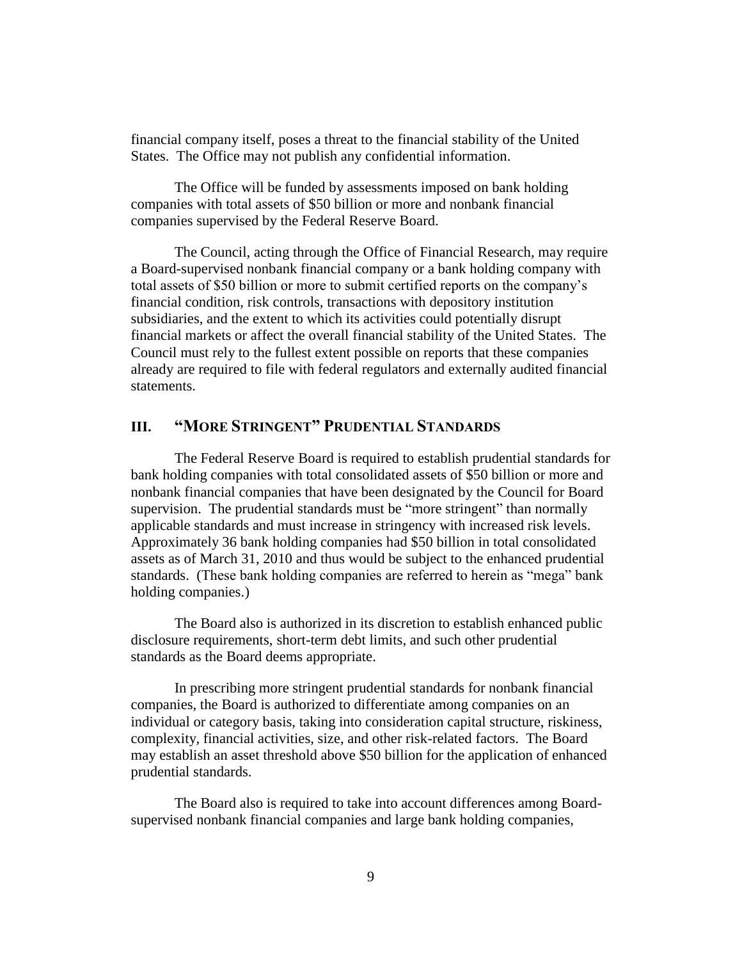financial company itself, poses a threat to the financial stability of the United States. The Office may not publish any confidential information.

The Office will be funded by assessments imposed on bank holding companies with total assets of \$50 billion or more and nonbank financial companies supervised by the Federal Reserve Board.

The Council, acting through the Office of Financial Research, may require a Board-supervised nonbank financial company or a bank holding company with total assets of \$50 billion or more to submit certified reports on the company's financial condition, risk controls, transactions with depository institution subsidiaries, and the extent to which its activities could potentially disrupt financial markets or affect the overall financial stability of the United States. The Council must rely to the fullest extent possible on reports that these companies already are required to file with federal regulators and externally audited financial statements.

# <span id="page-11-0"></span>**III. "MORE STRINGENT" PRUDENTIAL STANDARDS**

The Federal Reserve Board is required to establish prudential standards for bank holding companies with total consolidated assets of \$50 billion or more and nonbank financial companies that have been designated by the Council for Board supervision. The prudential standards must be "more stringent" than normally applicable standards and must increase in stringency with increased risk levels. Approximately 36 bank holding companies had \$50 billion in total consolidated assets as of March 31, 2010 and thus would be subject to the enhanced prudential standards. (These bank holding companies are referred to herein as "mega" bank holding companies.)

The Board also is authorized in its discretion to establish enhanced public disclosure requirements, short-term debt limits, and such other prudential standards as the Board deems appropriate.

In prescribing more stringent prudential standards for nonbank financial companies, the Board is authorized to differentiate among companies on an individual or category basis, taking into consideration capital structure, riskiness, complexity, financial activities, size, and other risk-related factors. The Board may establish an asset threshold above \$50 billion for the application of enhanced prudential standards.

The Board also is required to take into account differences among Boardsupervised nonbank financial companies and large bank holding companies,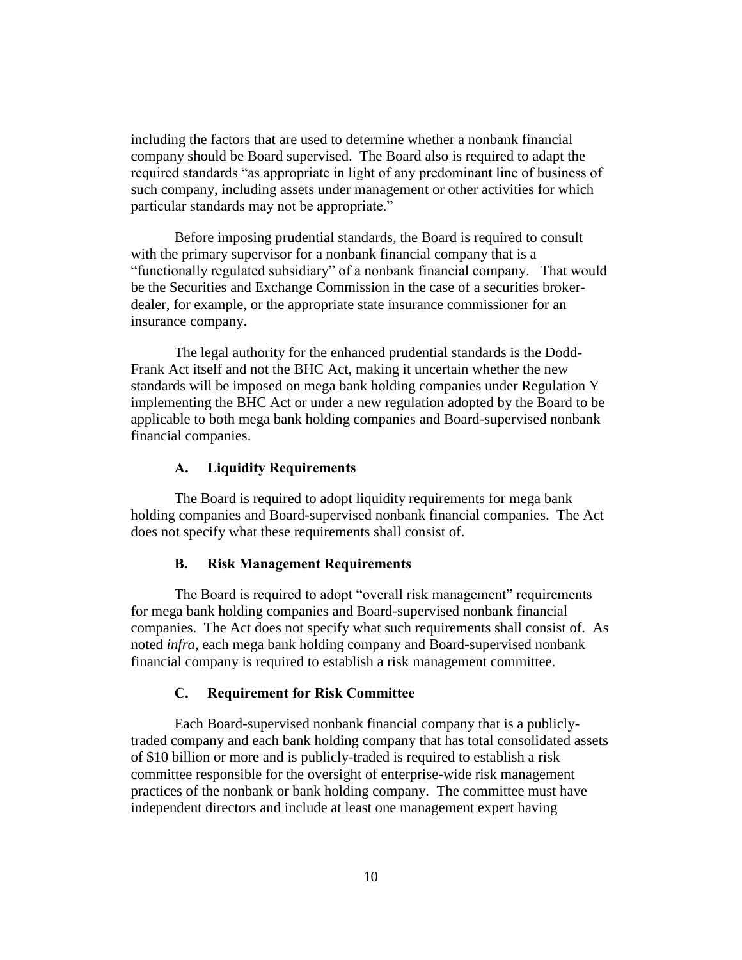including the factors that are used to determine whether a nonbank financial company should be Board supervised. The Board also is required to adapt the required standards "as appropriate in light of any predominant line of business of such company, including assets under management or other activities for which particular standards may not be appropriate."

Before imposing prudential standards, the Board is required to consult with the primary supervisor for a nonbank financial company that is a "functionally regulated subsidiary" of a nonbank financial company. That would be the Securities and Exchange Commission in the case of a securities brokerdealer, for example, or the appropriate state insurance commissioner for an insurance company.

The legal authority for the enhanced prudential standards is the Dodd-Frank Act itself and not the BHC Act, making it uncertain whether the new standards will be imposed on mega bank holding companies under Regulation Y implementing the BHC Act or under a new regulation adopted by the Board to be applicable to both mega bank holding companies and Board-supervised nonbank financial companies.

### **A. Liquidity Requirements**

<span id="page-12-0"></span>The Board is required to adopt liquidity requirements for mega bank holding companies and Board-supervised nonbank financial companies. The Act does not specify what these requirements shall consist of.

#### **B. Risk Management Requirements**

<span id="page-12-1"></span>The Board is required to adopt "overall risk management" requirements for mega bank holding companies and Board-supervised nonbank financial companies. The Act does not specify what such requirements shall consist of. As noted *infra*, each mega bank holding company and Board-supervised nonbank financial company is required to establish a risk management committee.

#### **C. Requirement for Risk Committee**

<span id="page-12-2"></span>Each Board-supervised nonbank financial company that is a publiclytraded company and each bank holding company that has total consolidated assets of \$10 billion or more and is publicly-traded is required to establish a risk committee responsible for the oversight of enterprise-wide risk management practices of the nonbank or bank holding company. The committee must have independent directors and include at least one management expert having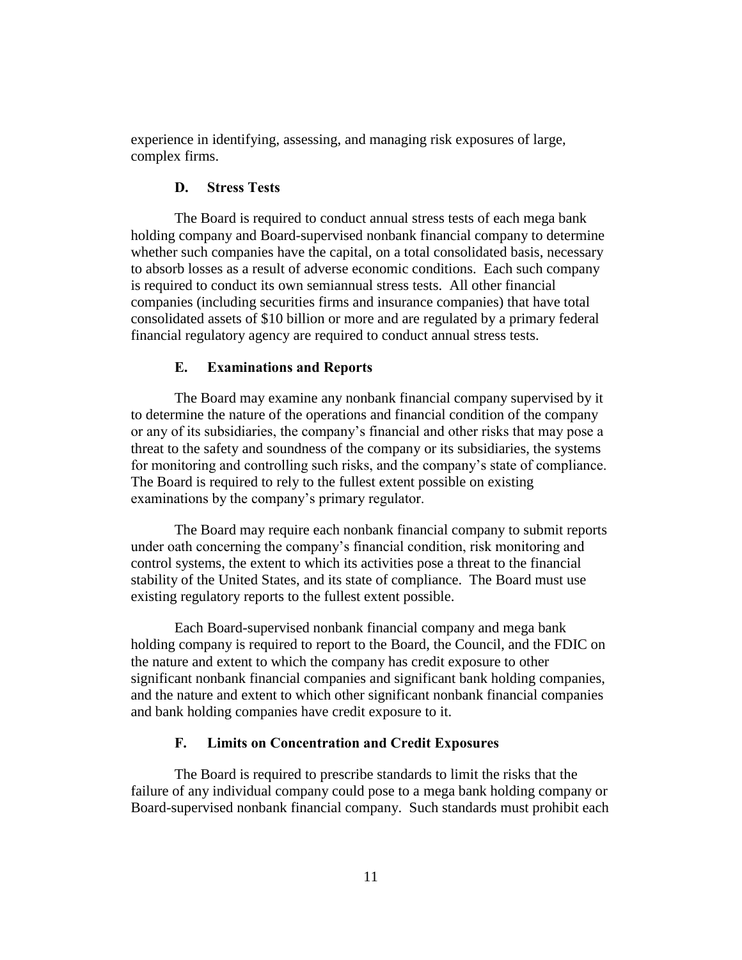<span id="page-13-0"></span>experience in identifying, assessing, and managing risk exposures of large, complex firms.

# **D. Stress Tests**

The Board is required to conduct annual stress tests of each mega bank holding company and Board-supervised nonbank financial company to determine whether such companies have the capital, on a total consolidated basis, necessary to absorb losses as a result of adverse economic conditions. Each such company is required to conduct its own semiannual stress tests. All other financial companies (including securities firms and insurance companies) that have total consolidated assets of \$10 billion or more and are regulated by a primary federal financial regulatory agency are required to conduct annual stress tests.

# **E. Examinations and Reports**

<span id="page-13-1"></span>The Board may examine any nonbank financial company supervised by it to determine the nature of the operations and financial condition of the company or any of its subsidiaries, the company's financial and other risks that may pose a threat to the safety and soundness of the company or its subsidiaries, the systems for monitoring and controlling such risks, and the company's state of compliance. The Board is required to rely to the fullest extent possible on existing examinations by the company's primary regulator.

The Board may require each nonbank financial company to submit reports under oath concerning the company's financial condition, risk monitoring and control systems, the extent to which its activities pose a threat to the financial stability of the United States, and its state of compliance. The Board must use existing regulatory reports to the fullest extent possible.

Each Board-supervised nonbank financial company and mega bank holding company is required to report to the Board, the Council, and the FDIC on the nature and extent to which the company has credit exposure to other significant nonbank financial companies and significant bank holding companies, and the nature and extent to which other significant nonbank financial companies and bank holding companies have credit exposure to it.

### <span id="page-13-2"></span>**F. Limits on Concentration and Credit Exposures**

The Board is required to prescribe standards to limit the risks that the failure of any individual company could pose to a mega bank holding company or Board-supervised nonbank financial company. Such standards must prohibit each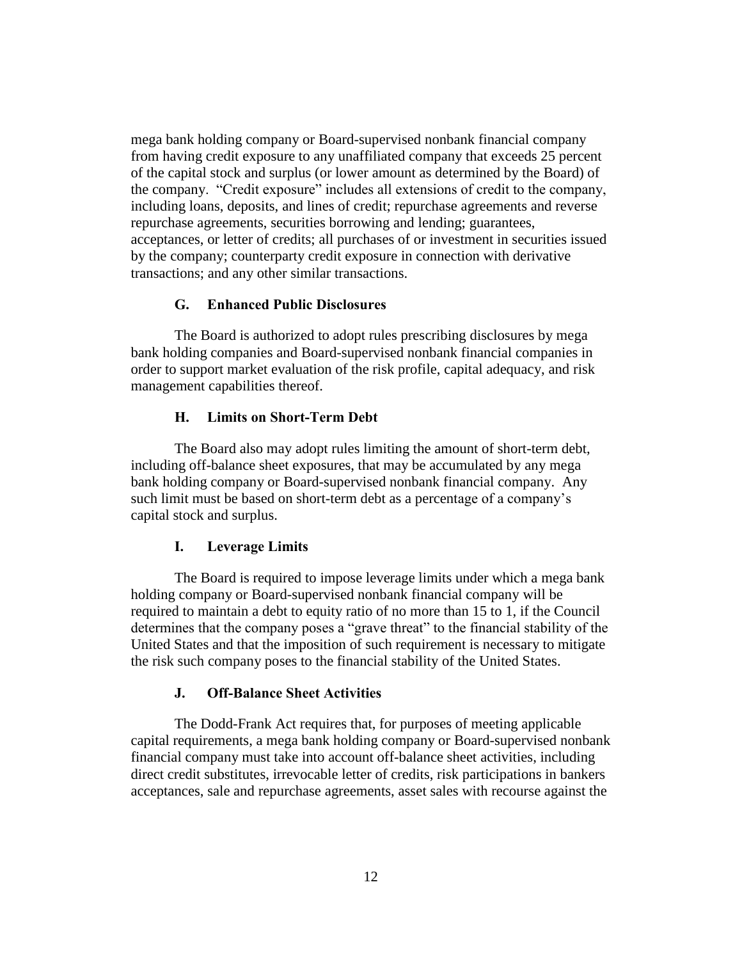mega bank holding company or Board-supervised nonbank financial company from having credit exposure to any unaffiliated company that exceeds 25 percent of the capital stock and surplus (or lower amount as determined by the Board) of the company. "Credit exposure" includes all extensions of credit to the company, including loans, deposits, and lines of credit; repurchase agreements and reverse repurchase agreements, securities borrowing and lending; guarantees, acceptances, or letter of credits; all purchases of or investment in securities issued by the company; counterparty credit exposure in connection with derivative transactions; and any other similar transactions.

#### **G. Enhanced Public Disclosures**

<span id="page-14-0"></span>The Board is authorized to adopt rules prescribing disclosures by mega bank holding companies and Board-supervised nonbank financial companies in order to support market evaluation of the risk profile, capital adequacy, and risk management capabilities thereof.

# **H. Limits on Short-Term Debt**

<span id="page-14-1"></span>The Board also may adopt rules limiting the amount of short-term debt, including off-balance sheet exposures, that may be accumulated by any mega bank holding company or Board-supervised nonbank financial company. Any such limit must be based on short-term debt as a percentage of a company's capital stock and surplus.

### <span id="page-14-2"></span>**I. Leverage Limits**

The Board is required to impose leverage limits under which a mega bank holding company or Board-supervised nonbank financial company will be required to maintain a debt to equity ratio of no more than 15 to 1, if the Council determines that the company poses a "grave threat" to the financial stability of the United States and that the imposition of such requirement is necessary to mitigate the risk such company poses to the financial stability of the United States.

## **J. Off-Balance Sheet Activities**

<span id="page-14-3"></span>The Dodd-Frank Act requires that, for purposes of meeting applicable capital requirements, a mega bank holding company or Board-supervised nonbank financial company must take into account off-balance sheet activities, including direct credit substitutes, irrevocable letter of credits, risk participations in bankers acceptances, sale and repurchase agreements, asset sales with recourse against the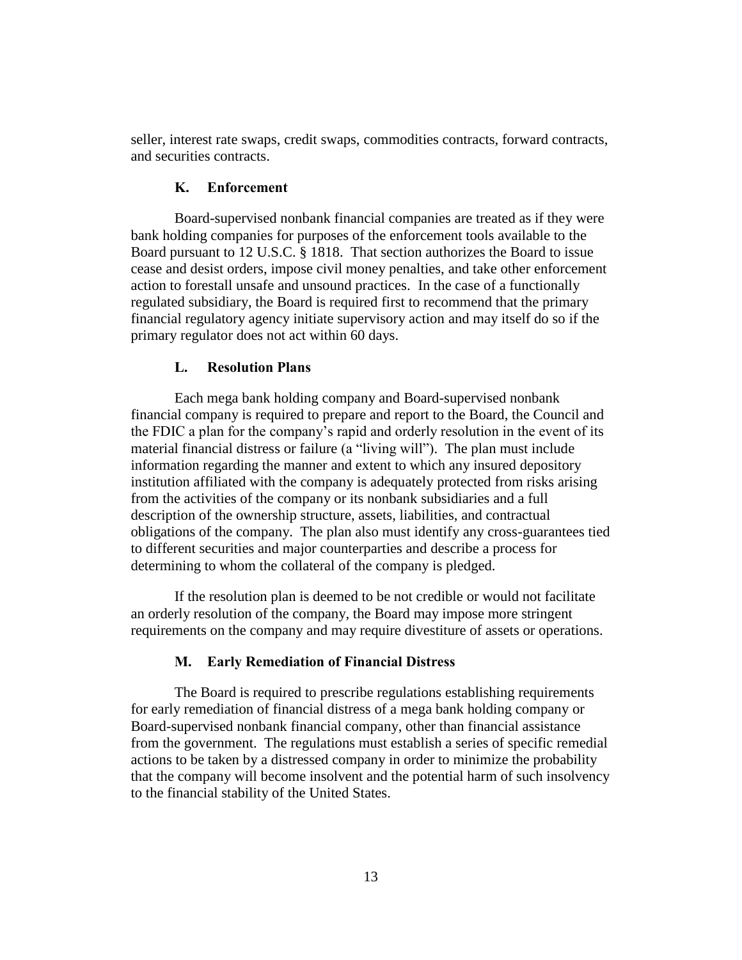<span id="page-15-0"></span>seller, interest rate swaps, credit swaps, commodities contracts, forward contracts, and securities contracts.

### **K. Enforcement**

Board-supervised nonbank financial companies are treated as if they were bank holding companies for purposes of the enforcement tools available to the Board pursuant to 12 U.S.C. § 1818. That section authorizes the Board to issue cease and desist orders, impose civil money penalties, and take other enforcement action to forestall unsafe and unsound practices. In the case of a functionally regulated subsidiary, the Board is required first to recommend that the primary financial regulatory agency initiate supervisory action and may itself do so if the primary regulator does not act within 60 days.

## <span id="page-15-1"></span>**L. Resolution Plans**

Each mega bank holding company and Board-supervised nonbank financial company is required to prepare and report to the Board, the Council and the FDIC a plan for the company's rapid and orderly resolution in the event of its material financial distress or failure (a "living will"). The plan must include information regarding the manner and extent to which any insured depository institution affiliated with the company is adequately protected from risks arising from the activities of the company or its nonbank subsidiaries and a full description of the ownership structure, assets, liabilities, and contractual obligations of the company. The plan also must identify any cross-guarantees tied to different securities and major counterparties and describe a process for determining to whom the collateral of the company is pledged.

<span id="page-15-2"></span>If the resolution plan is deemed to be not credible or would not facilitate an orderly resolution of the company, the Board may impose more stringent requirements on the company and may require divestiture of assets or operations.

#### **M. Early Remediation of Financial Distress**

The Board is required to prescribe regulations establishing requirements for early remediation of financial distress of a mega bank holding company or Board-supervised nonbank financial company, other than financial assistance from the government. The regulations must establish a series of specific remedial actions to be taken by a distressed company in order to minimize the probability that the company will become insolvent and the potential harm of such insolvency to the financial stability of the United States.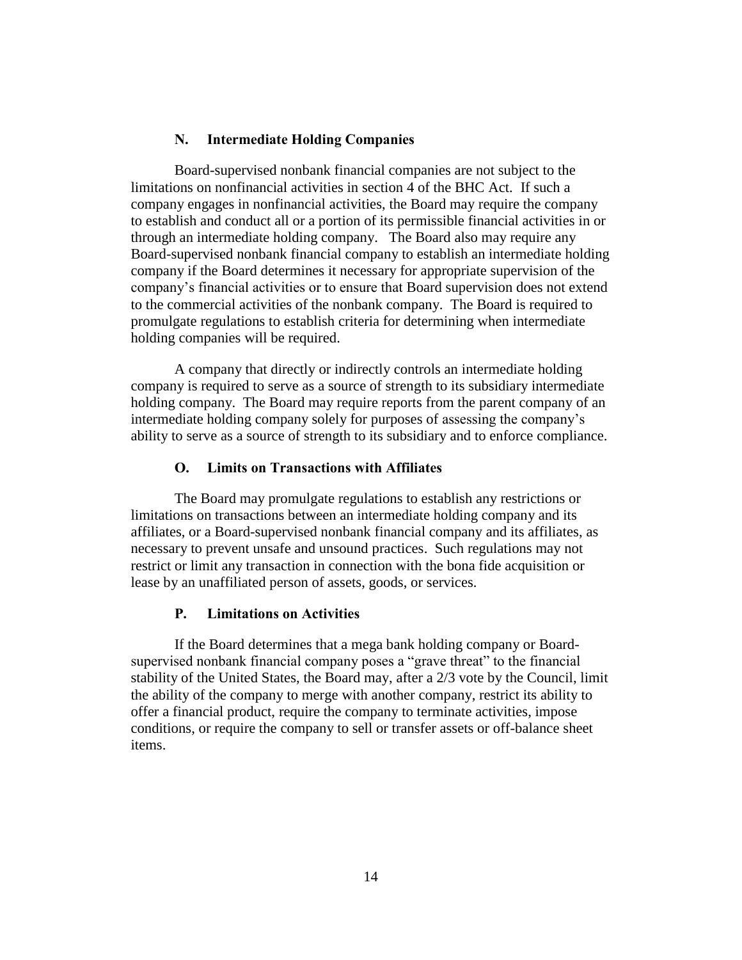# **N. Intermediate Holding Companies**

<span id="page-16-0"></span>Board-supervised nonbank financial companies are not subject to the limitations on nonfinancial activities in section 4 of the BHC Act. If such a company engages in nonfinancial activities, the Board may require the company to establish and conduct all or a portion of its permissible financial activities in or through an intermediate holding company. The Board also may require any Board-supervised nonbank financial company to establish an intermediate holding company if the Board determines it necessary for appropriate supervision of the company's financial activities or to ensure that Board supervision does not extend to the commercial activities of the nonbank company. The Board is required to promulgate regulations to establish criteria for determining when intermediate holding companies will be required.

A company that directly or indirectly controls an intermediate holding company is required to serve as a source of strength to its subsidiary intermediate holding company. The Board may require reports from the parent company of an intermediate holding company solely for purposes of assessing the company's ability to serve as a source of strength to its subsidiary and to enforce compliance.

### **O. Limits on Transactions with Affiliates**

<span id="page-16-1"></span>The Board may promulgate regulations to establish any restrictions or limitations on transactions between an intermediate holding company and its affiliates, or a Board-supervised nonbank financial company and its affiliates, as necessary to prevent unsafe and unsound practices. Such regulations may not restrict or limit any transaction in connection with the bona fide acquisition or lease by an unaffiliated person of assets, goods, or services.

# **P. Limitations on Activities**

<span id="page-16-2"></span>If the Board determines that a mega bank holding company or Boardsupervised nonbank financial company poses a "grave threat" to the financial stability of the United States, the Board may, after a 2/3 vote by the Council, limit the ability of the company to merge with another company, restrict its ability to offer a financial product, require the company to terminate activities, impose conditions, or require the company to sell or transfer assets or off-balance sheet items.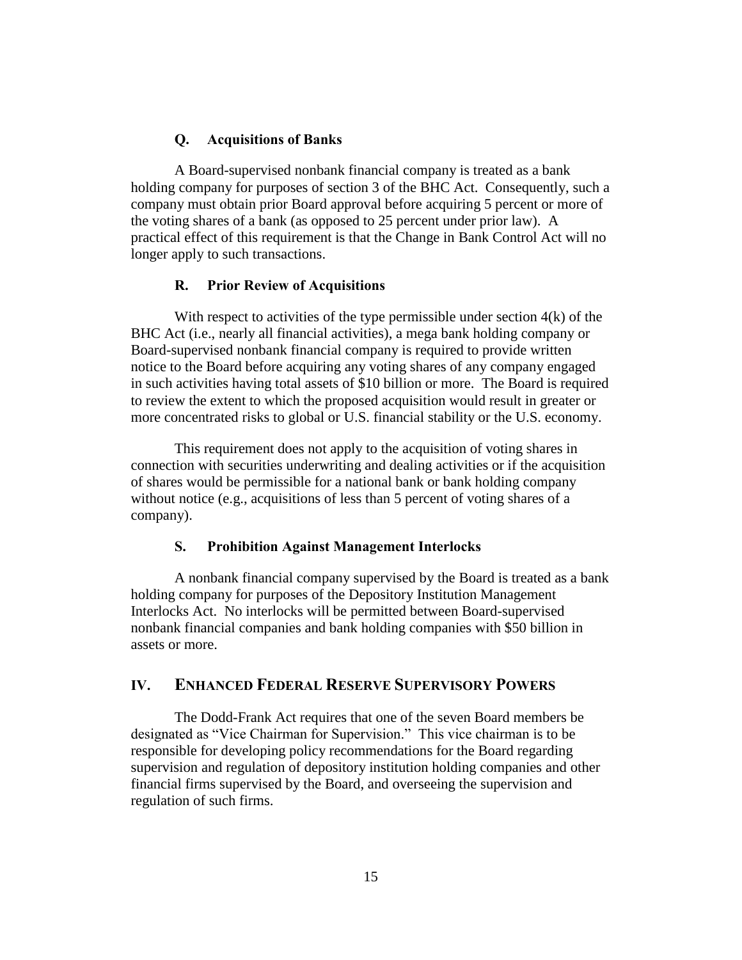## **Q. Acquisitions of Banks**

<span id="page-17-0"></span>A Board-supervised nonbank financial company is treated as a bank holding company for purposes of section 3 of the BHC Act. Consequently, such a company must obtain prior Board approval before acquiring 5 percent or more of the voting shares of a bank (as opposed to 25 percent under prior law). A practical effect of this requirement is that the Change in Bank Control Act will no longer apply to such transactions.

# <span id="page-17-1"></span>**R. Prior Review of Acquisitions**

With respect to activities of the type permissible under section  $4(k)$  of the BHC Act (i.e., nearly all financial activities), a mega bank holding company or Board-supervised nonbank financial company is required to provide written notice to the Board before acquiring any voting shares of any company engaged in such activities having total assets of \$10 billion or more. The Board is required to review the extent to which the proposed acquisition would result in greater or more concentrated risks to global or U.S. financial stability or the U.S. economy.

This requirement does not apply to the acquisition of voting shares in connection with securities underwriting and dealing activities or if the acquisition of shares would be permissible for a national bank or bank holding company without notice (e.g., acquisitions of less than 5 percent of voting shares of a company).

### <span id="page-17-2"></span>**S. Prohibition Against Management Interlocks**

A nonbank financial company supervised by the Board is treated as a bank holding company for purposes of the Depository Institution Management Interlocks Act. No interlocks will be permitted between Board-supervised nonbank financial companies and bank holding companies with \$50 billion in assets or more.

# <span id="page-17-3"></span>**IV. ENHANCED FEDERAL RESERVE SUPERVISORY POWERS**

The Dodd-Frank Act requires that one of the seven Board members be designated as "Vice Chairman for Supervision." This vice chairman is to be responsible for developing policy recommendations for the Board regarding supervision and regulation of depository institution holding companies and other financial firms supervised by the Board, and overseeing the supervision and regulation of such firms.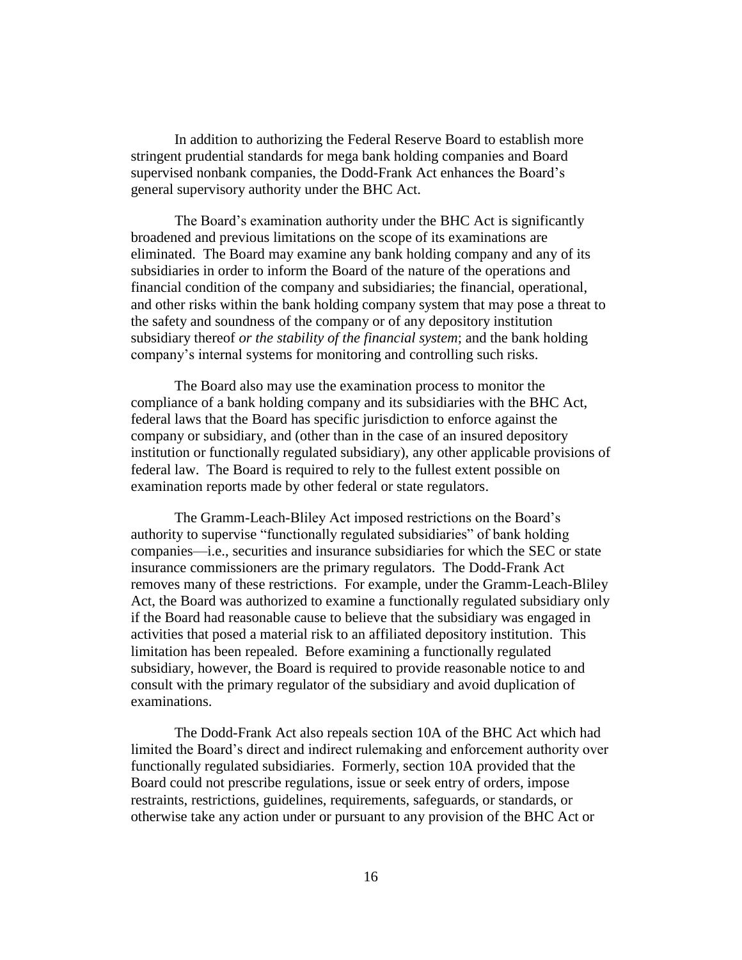In addition to authorizing the Federal Reserve Board to establish more stringent prudential standards for mega bank holding companies and Board supervised nonbank companies, the Dodd-Frank Act enhances the Board's general supervisory authority under the BHC Act.

The Board's examination authority under the BHC Act is significantly broadened and previous limitations on the scope of its examinations are eliminated. The Board may examine any bank holding company and any of its subsidiaries in order to inform the Board of the nature of the operations and financial condition of the company and subsidiaries; the financial, operational, and other risks within the bank holding company system that may pose a threat to the safety and soundness of the company or of any depository institution subsidiary thereof *or the stability of the financial system*; and the bank holding company's internal systems for monitoring and controlling such risks.

The Board also may use the examination process to monitor the compliance of a bank holding company and its subsidiaries with the BHC Act, federal laws that the Board has specific jurisdiction to enforce against the company or subsidiary, and (other than in the case of an insured depository institution or functionally regulated subsidiary), any other applicable provisions of federal law. The Board is required to rely to the fullest extent possible on examination reports made by other federal or state regulators.

The Gramm-Leach-Bliley Act imposed restrictions on the Board's authority to supervise "functionally regulated subsidiaries" of bank holding companies—i.e., securities and insurance subsidiaries for which the SEC or state insurance commissioners are the primary regulators. The Dodd-Frank Act removes many of these restrictions. For example, under the Gramm-Leach-Bliley Act, the Board was authorized to examine a functionally regulated subsidiary only if the Board had reasonable cause to believe that the subsidiary was engaged in activities that posed a material risk to an affiliated depository institution. This limitation has been repealed. Before examining a functionally regulated subsidiary, however, the Board is required to provide reasonable notice to and consult with the primary regulator of the subsidiary and avoid duplication of examinations.

The Dodd-Frank Act also repeals section 10A of the BHC Act which had limited the Board's direct and indirect rulemaking and enforcement authority over functionally regulated subsidiaries. Formerly, section 10A provided that the Board could not prescribe regulations, issue or seek entry of orders, impose restraints, restrictions, guidelines, requirements, safeguards, or standards, or otherwise take any action under or pursuant to any provision of the BHC Act or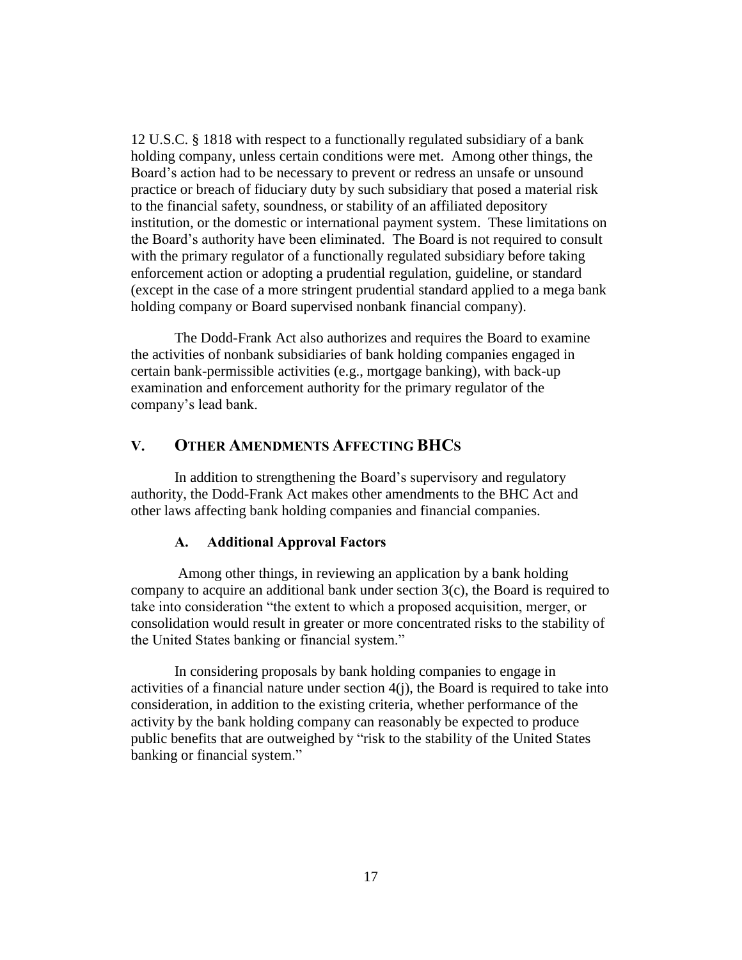12 U.S.C. § 1818 with respect to a functionally regulated subsidiary of a bank holding company, unless certain conditions were met. Among other things, the Board's action had to be necessary to prevent or redress an unsafe or unsound practice or breach of fiduciary duty by such subsidiary that posed a material risk to the financial safety, soundness, or stability of an affiliated depository institution, or the domestic or international payment system. These limitations on the Board's authority have been eliminated. The Board is not required to consult with the primary regulator of a functionally regulated subsidiary before taking enforcement action or adopting a prudential regulation, guideline, or standard (except in the case of a more stringent prudential standard applied to a mega bank holding company or Board supervised nonbank financial company).

The Dodd-Frank Act also authorizes and requires the Board to examine the activities of nonbank subsidiaries of bank holding companies engaged in certain bank-permissible activities (e.g., mortgage banking), with back-up examination and enforcement authority for the primary regulator of the company's lead bank.

# <span id="page-19-0"></span>**V. OTHER AMENDMENTS AFFECTING BHCS**

In addition to strengthening the Board's supervisory and regulatory authority, the Dodd-Frank Act makes other amendments to the BHC Act and other laws affecting bank holding companies and financial companies.

# **A. Additional Approval Factors**

<span id="page-19-1"></span>Among other things, in reviewing an application by a bank holding company to acquire an additional bank under section 3(c), the Board is required to take into consideration "the extent to which a proposed acquisition, merger, or consolidation would result in greater or more concentrated risks to the stability of the United States banking or financial system."

In considering proposals by bank holding companies to engage in activities of a financial nature under section 4(j), the Board is required to take into consideration, in addition to the existing criteria, whether performance of the activity by the bank holding company can reasonably be expected to produce public benefits that are outweighed by "risk to the stability of the United States banking or financial system."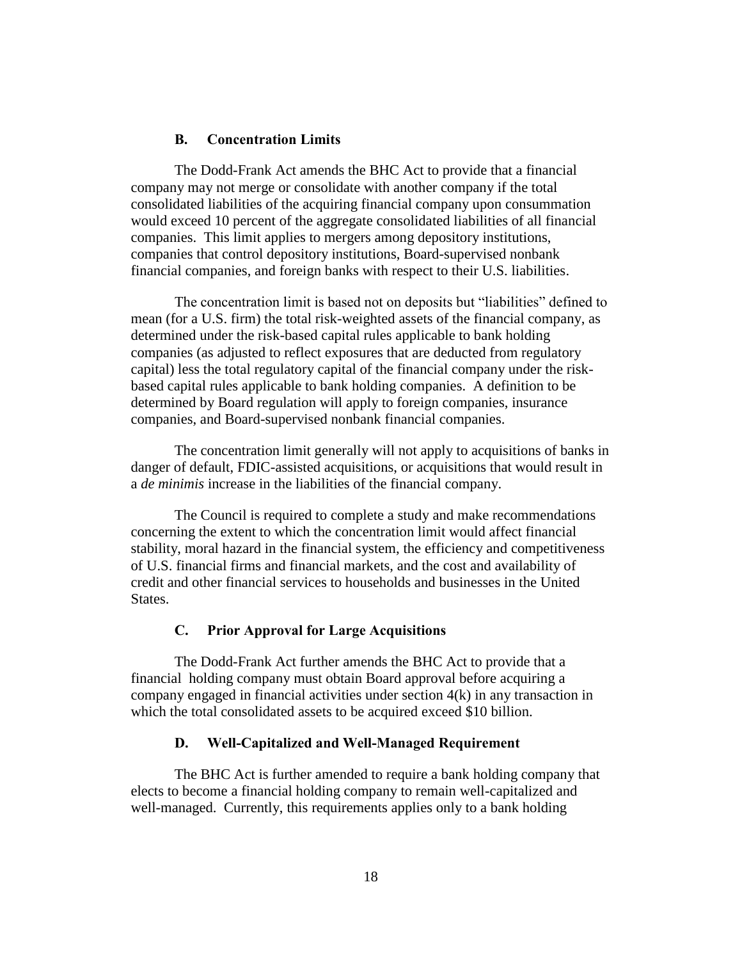# **B. Concentration Limits**

<span id="page-20-0"></span>The Dodd-Frank Act amends the BHC Act to provide that a financial company may not merge or consolidate with another company if the total consolidated liabilities of the acquiring financial company upon consummation would exceed 10 percent of the aggregate consolidated liabilities of all financial companies. This limit applies to mergers among depository institutions, companies that control depository institutions, Board-supervised nonbank financial companies, and foreign banks with respect to their U.S. liabilities.

The concentration limit is based not on deposits but "liabilities" defined to mean (for a U.S. firm) the total risk-weighted assets of the financial company, as determined under the risk-based capital rules applicable to bank holding companies (as adjusted to reflect exposures that are deducted from regulatory capital) less the total regulatory capital of the financial company under the riskbased capital rules applicable to bank holding companies. A definition to be determined by Board regulation will apply to foreign companies, insurance companies, and Board-supervised nonbank financial companies.

The concentration limit generally will not apply to acquisitions of banks in danger of default, FDIC-assisted acquisitions, or acquisitions that would result in a *de minimis* increase in the liabilities of the financial company.

The Council is required to complete a study and make recommendations concerning the extent to which the concentration limit would affect financial stability, moral hazard in the financial system, the efficiency and competitiveness of U.S. financial firms and financial markets, and the cost and availability of credit and other financial services to households and businesses in the United States.

## **C. Prior Approval for Large Acquisitions**

<span id="page-20-1"></span>The Dodd-Frank Act further amends the BHC Act to provide that a financial holding company must obtain Board approval before acquiring a company engaged in financial activities under section 4(k) in any transaction in which the total consolidated assets to be acquired exceed \$10 billion.

### **D. Well-Capitalized and Well-Managed Requirement**

<span id="page-20-2"></span>The BHC Act is further amended to require a bank holding company that elects to become a financial holding company to remain well-capitalized and well-managed. Currently, this requirements applies only to a bank holding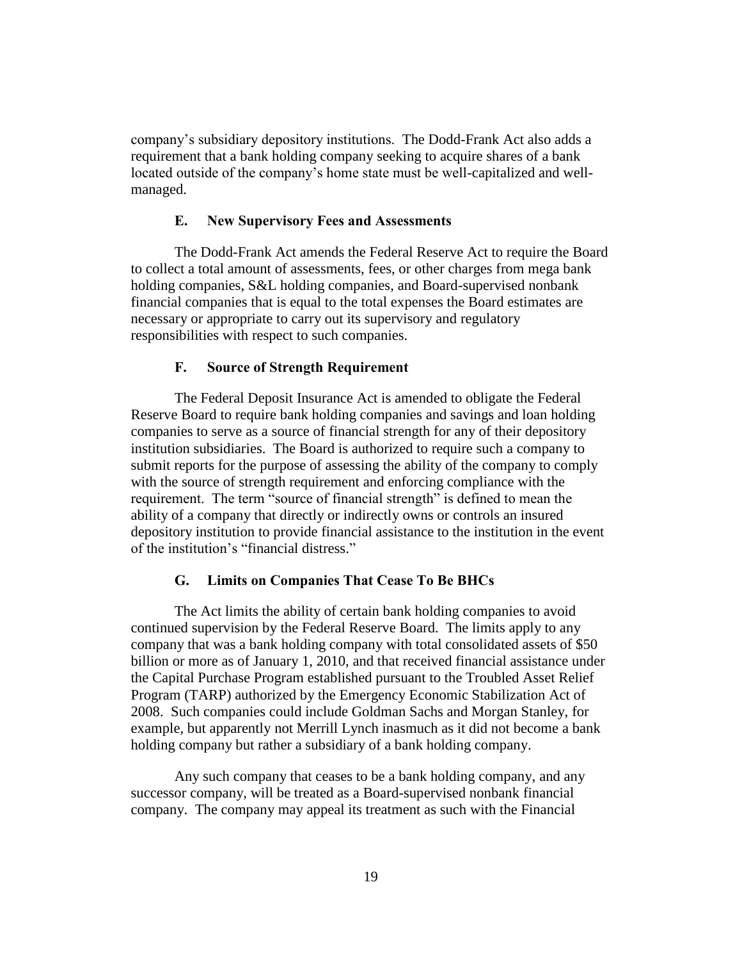company's subsidiary depository institutions. The Dodd-Frank Act also adds a requirement that a bank holding company seeking to acquire shares of a bank located outside of the company's home state must be well-capitalized and wellmanaged.

### **E. New Supervisory Fees and Assessments**

<span id="page-21-0"></span>The Dodd-Frank Act amends the Federal Reserve Act to require the Board to collect a total amount of assessments, fees, or other charges from mega bank holding companies, S&L holding companies, and Board-supervised nonbank financial companies that is equal to the total expenses the Board estimates are necessary or appropriate to carry out its supervisory and regulatory responsibilities with respect to such companies.

## <span id="page-21-1"></span>**F. Source of Strength Requirement**

The Federal Deposit Insurance Act is amended to obligate the Federal Reserve Board to require bank holding companies and savings and loan holding companies to serve as a source of financial strength for any of their depository institution subsidiaries. The Board is authorized to require such a company to submit reports for the purpose of assessing the ability of the company to comply with the source of strength requirement and enforcing compliance with the requirement. The term "source of financial strength" is defined to mean the ability of a company that directly or indirectly owns or controls an insured depository institution to provide financial assistance to the institution in the event of the institution's "financial distress."

#### **G. Limits on Companies That Cease To Be BHCs**

<span id="page-21-2"></span>The Act limits the ability of certain bank holding companies to avoid continued supervision by the Federal Reserve Board. The limits apply to any company that was a bank holding company with total consolidated assets of \$50 billion or more as of January 1, 2010, and that received financial assistance under the Capital Purchase Program established pursuant to the Troubled Asset Relief Program (TARP) authorized by the Emergency Economic Stabilization Act of 2008. Such companies could include Goldman Sachs and Morgan Stanley, for example, but apparently not Merrill Lynch inasmuch as it did not become a bank holding company but rather a subsidiary of a bank holding company.

Any such company that ceases to be a bank holding company, and any successor company, will be treated as a Board-supervised nonbank financial company. The company may appeal its treatment as such with the Financial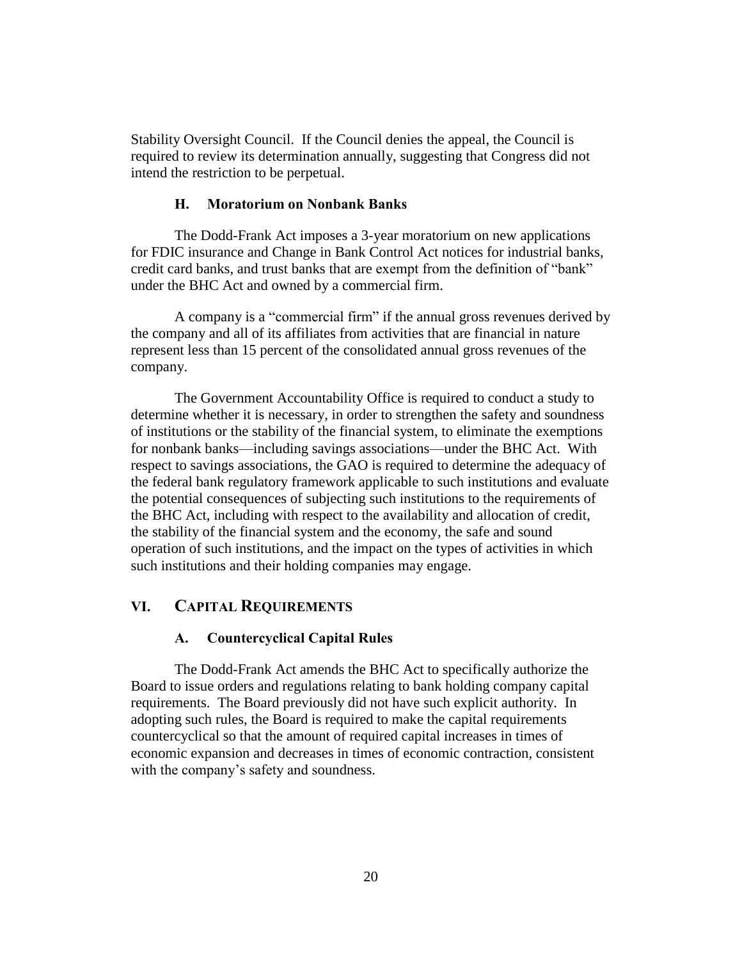Stability Oversight Council. If the Council denies the appeal, the Council is required to review its determination annually, suggesting that Congress did not intend the restriction to be perpetual.

#### **H. Moratorium on Nonbank Banks**

<span id="page-22-0"></span>The Dodd-Frank Act imposes a 3-year moratorium on new applications for FDIC insurance and Change in Bank Control Act notices for industrial banks, credit card banks, and trust banks that are exempt from the definition of "bank" under the BHC Act and owned by a commercial firm.

A company is a "commercial firm" if the annual gross revenues derived by the company and all of its affiliates from activities that are financial in nature represent less than 15 percent of the consolidated annual gross revenues of the company.

The Government Accountability Office is required to conduct a study to determine whether it is necessary, in order to strengthen the safety and soundness of institutions or the stability of the financial system, to eliminate the exemptions for nonbank banks—including savings associations—under the BHC Act. With respect to savings associations, the GAO is required to determine the adequacy of the federal bank regulatory framework applicable to such institutions and evaluate the potential consequences of subjecting such institutions to the requirements of the BHC Act, including with respect to the availability and allocation of credit, the stability of the financial system and the economy, the safe and sound operation of such institutions, and the impact on the types of activities in which such institutions and their holding companies may engage.

# <span id="page-22-2"></span><span id="page-22-1"></span>**VI. CAPITAL REQUIREMENTS**

# **A. Countercyclical Capital Rules**

The Dodd-Frank Act amends the BHC Act to specifically authorize the Board to issue orders and regulations relating to bank holding company capital requirements. The Board previously did not have such explicit authority. In adopting such rules, the Board is required to make the capital requirements countercyclical so that the amount of required capital increases in times of economic expansion and decreases in times of economic contraction, consistent with the company's safety and soundness.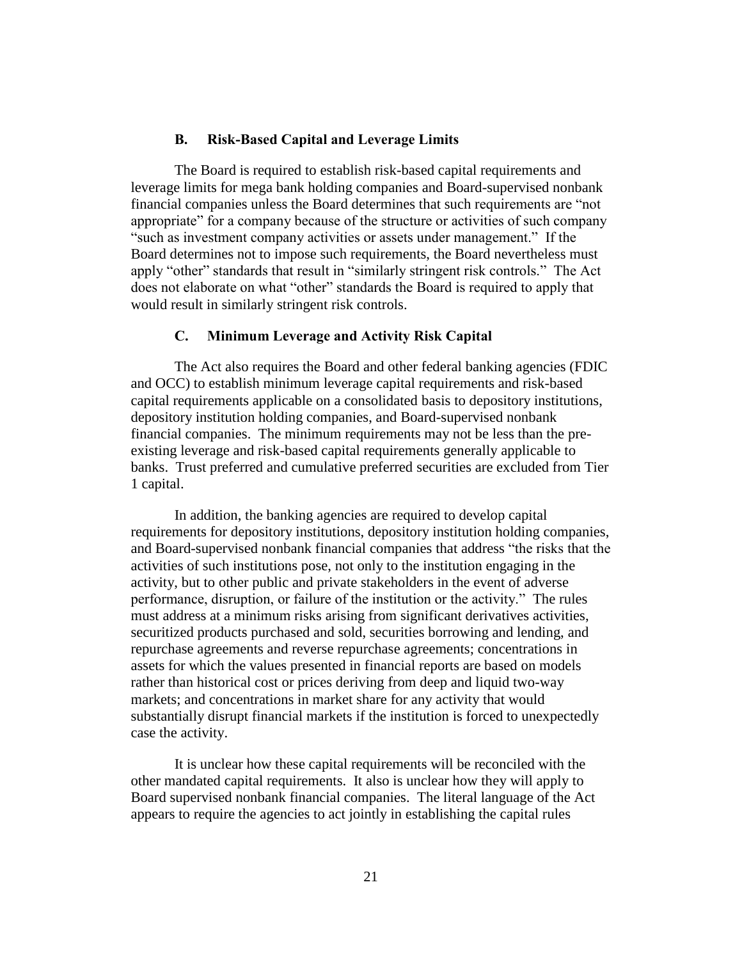# **B. Risk-Based Capital and Leverage Limits**

<span id="page-23-0"></span>The Board is required to establish risk-based capital requirements and leverage limits for mega bank holding companies and Board-supervised nonbank financial companies unless the Board determines that such requirements are "not appropriate" for a company because of the structure or activities of such company "such as investment company activities or assets under management." If the Board determines not to impose such requirements, the Board nevertheless must apply "other" standards that result in "similarly stringent risk controls." The Act does not elaborate on what "other" standards the Board is required to apply that would result in similarly stringent risk controls.

# **C. Minimum Leverage and Activity Risk Capital**

<span id="page-23-1"></span>The Act also requires the Board and other federal banking agencies (FDIC and OCC) to establish minimum leverage capital requirements and risk-based capital requirements applicable on a consolidated basis to depository institutions, depository institution holding companies, and Board-supervised nonbank financial companies. The minimum requirements may not be less than the preexisting leverage and risk-based capital requirements generally applicable to banks. Trust preferred and cumulative preferred securities are excluded from Tier 1 capital.

In addition, the banking agencies are required to develop capital requirements for depository institutions, depository institution holding companies, and Board-supervised nonbank financial companies that address "the risks that the activities of such institutions pose, not only to the institution engaging in the activity, but to other public and private stakeholders in the event of adverse performance, disruption, or failure of the institution or the activity." The rules must address at a minimum risks arising from significant derivatives activities, securitized products purchased and sold, securities borrowing and lending, and repurchase agreements and reverse repurchase agreements; concentrations in assets for which the values presented in financial reports are based on models rather than historical cost or prices deriving from deep and liquid two-way markets; and concentrations in market share for any activity that would substantially disrupt financial markets if the institution is forced to unexpectedly case the activity.

It is unclear how these capital requirements will be reconciled with the other mandated capital requirements. It also is unclear how they will apply to Board supervised nonbank financial companies. The literal language of the Act appears to require the agencies to act jointly in establishing the capital rules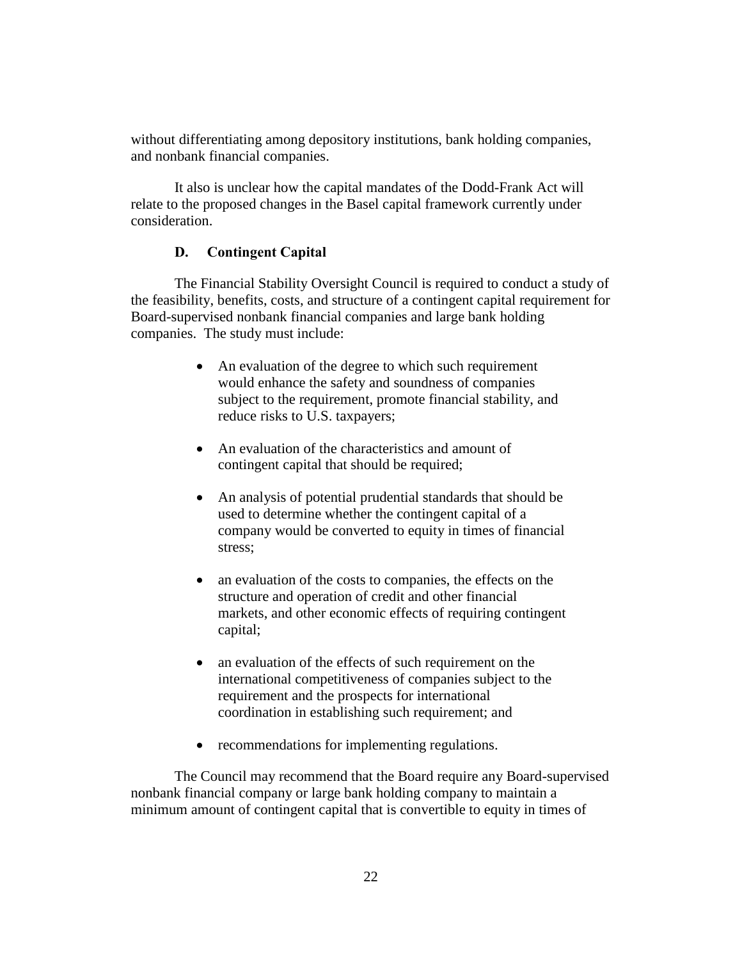without differentiating among depository institutions, bank holding companies, and nonbank financial companies.

<span id="page-24-0"></span>It also is unclear how the capital mandates of the Dodd-Frank Act will relate to the proposed changes in the Basel capital framework currently under consideration.

# **D. Contingent Capital**

The Financial Stability Oversight Council is required to conduct a study of the feasibility, benefits, costs, and structure of a contingent capital requirement for Board-supervised nonbank financial companies and large bank holding companies. The study must include:

- An evaluation of the degree to which such requirement would enhance the safety and soundness of companies subject to the requirement, promote financial stability, and reduce risks to U.S. taxpayers;
- An evaluation of the characteristics and amount of contingent capital that should be required;
- An analysis of potential prudential standards that should be used to determine whether the contingent capital of a company would be converted to equity in times of financial stress;
- an evaluation of the costs to companies, the effects on the structure and operation of credit and other financial markets, and other economic effects of requiring contingent capital;
- an evaluation of the effects of such requirement on the international competitiveness of companies subject to the requirement and the prospects for international coordination in establishing such requirement; and
- recommendations for implementing regulations.

The Council may recommend that the Board require any Board-supervised nonbank financial company or large bank holding company to maintain a minimum amount of contingent capital that is convertible to equity in times of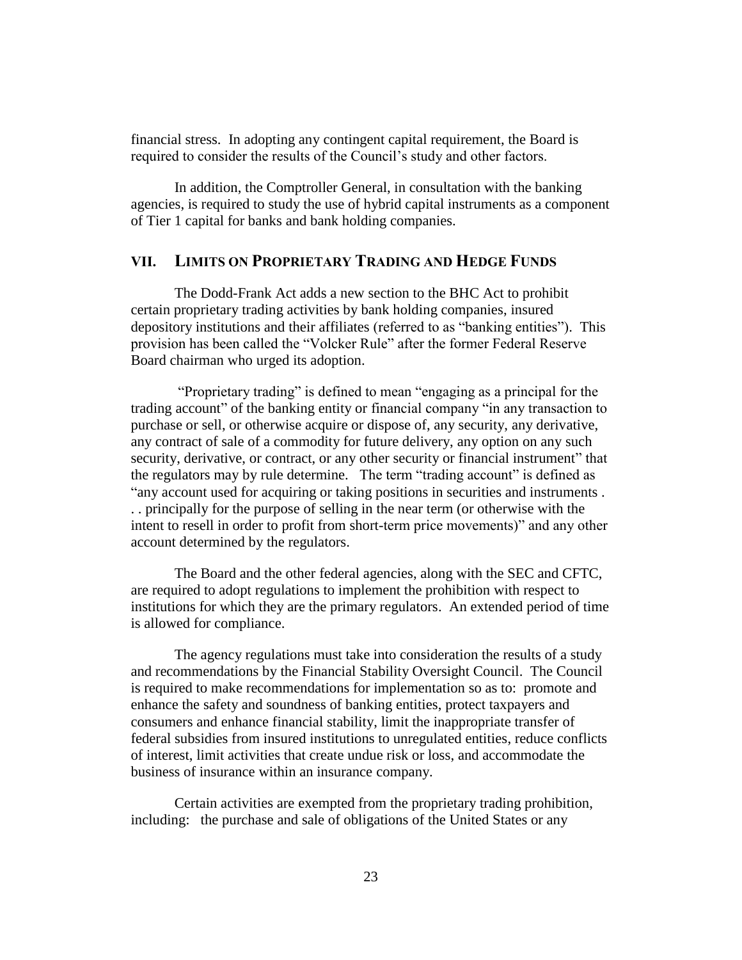financial stress. In adopting any contingent capital requirement, the Board is required to consider the results of the Council's study and other factors.

In addition, the Comptroller General, in consultation with the banking agencies, is required to study the use of hybrid capital instruments as a component of Tier 1 capital for banks and bank holding companies.

# <span id="page-25-0"></span>**VII. LIMITS ON PROPRIETARY TRADING AND HEDGE FUNDS**

The Dodd-Frank Act adds a new section to the BHC Act to prohibit certain proprietary trading activities by bank holding companies, insured depository institutions and their affiliates (referred to as "banking entities"). This provision has been called the "Volcker Rule" after the former Federal Reserve Board chairman who urged its adoption.

"Proprietary trading" is defined to mean "engaging as a principal for the trading account" of the banking entity or financial company "in any transaction to purchase or sell, or otherwise acquire or dispose of, any security, any derivative, any contract of sale of a commodity for future delivery, any option on any such security, derivative, or contract, or any other security or financial instrument" that the regulators may by rule determine. The term "trading account" is defined as "any account used for acquiring or taking positions in securities and instruments . . . principally for the purpose of selling in the near term (or otherwise with the intent to resell in order to profit from short-term price movements)" and any other account determined by the regulators.

The Board and the other federal agencies, along with the SEC and CFTC, are required to adopt regulations to implement the prohibition with respect to institutions for which they are the primary regulators. An extended period of time is allowed for compliance.

The agency regulations must take into consideration the results of a study and recommendations by the Financial Stability Oversight Council. The Council is required to make recommendations for implementation so as to: promote and enhance the safety and soundness of banking entities, protect taxpayers and consumers and enhance financial stability, limit the inappropriate transfer of federal subsidies from insured institutions to unregulated entities, reduce conflicts of interest, limit activities that create undue risk or loss, and accommodate the business of insurance within an insurance company.

Certain activities are exempted from the proprietary trading prohibition, including: the purchase and sale of obligations of the United States or any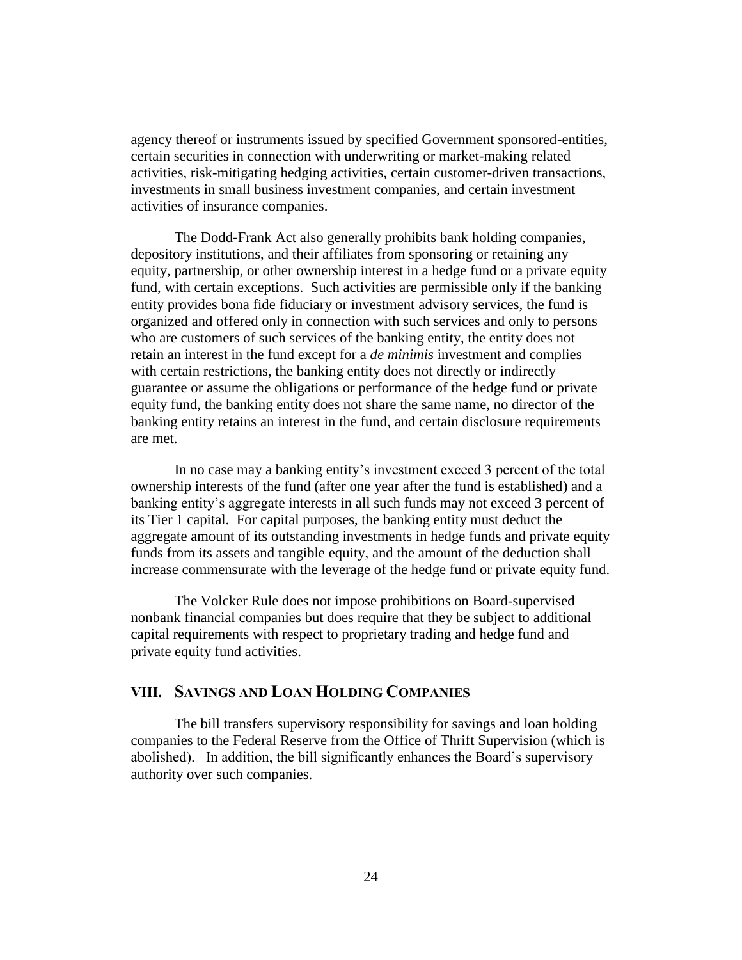agency thereof or instruments issued by specified Government sponsored-entities, certain securities in connection with underwriting or market-making related activities, risk-mitigating hedging activities, certain customer-driven transactions, investments in small business investment companies, and certain investment activities of insurance companies.

The Dodd-Frank Act also generally prohibits bank holding companies, depository institutions, and their affiliates from sponsoring or retaining any equity, partnership, or other ownership interest in a hedge fund or a private equity fund, with certain exceptions. Such activities are permissible only if the banking entity provides bona fide fiduciary or investment advisory services, the fund is organized and offered only in connection with such services and only to persons who are customers of such services of the banking entity, the entity does not retain an interest in the fund except for a *de minimis* investment and complies with certain restrictions, the banking entity does not directly or indirectly guarantee or assume the obligations or performance of the hedge fund or private equity fund, the banking entity does not share the same name, no director of the banking entity retains an interest in the fund, and certain disclosure requirements are met.

In no case may a banking entity's investment exceed 3 percent of the total ownership interests of the fund (after one year after the fund is established) and a banking entity's aggregate interests in all such funds may not exceed 3 percent of its Tier 1 capital. For capital purposes, the banking entity must deduct the aggregate amount of its outstanding investments in hedge funds and private equity funds from its assets and tangible equity, and the amount of the deduction shall increase commensurate with the leverage of the hedge fund or private equity fund.

The Volcker Rule does not impose prohibitions on Board-supervised nonbank financial companies but does require that they be subject to additional capital requirements with respect to proprietary trading and hedge fund and private equity fund activities.

# <span id="page-26-0"></span>**VIII. SAVINGS AND LOAN HOLDING COMPANIES**

The bill transfers supervisory responsibility for savings and loan holding companies to the Federal Reserve from the Office of Thrift Supervision (which is abolished). In addition, the bill significantly enhances the Board's supervisory authority over such companies.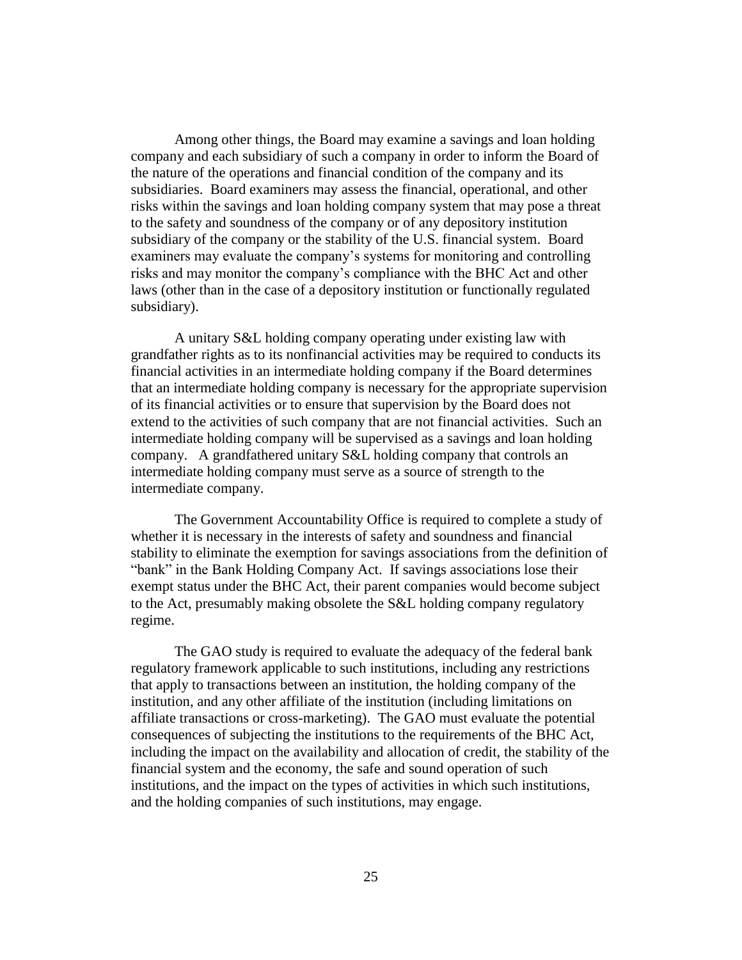Among other things, the Board may examine a savings and loan holding company and each subsidiary of such a company in order to inform the Board of the nature of the operations and financial condition of the company and its subsidiaries. Board examiners may assess the financial, operational, and other risks within the savings and loan holding company system that may pose a threat to the safety and soundness of the company or of any depository institution subsidiary of the company or the stability of the U.S. financial system. Board examiners may evaluate the company's systems for monitoring and controlling risks and may monitor the company's compliance with the BHC Act and other laws (other than in the case of a depository institution or functionally regulated subsidiary).

A unitary S&L holding company operating under existing law with grandfather rights as to its nonfinancial activities may be required to conducts its financial activities in an intermediate holding company if the Board determines that an intermediate holding company is necessary for the appropriate supervision of its financial activities or to ensure that supervision by the Board does not extend to the activities of such company that are not financial activities. Such an intermediate holding company will be supervised as a savings and loan holding company. A grandfathered unitary S&L holding company that controls an intermediate holding company must serve as a source of strength to the intermediate company.

The Government Accountability Office is required to complete a study of whether it is necessary in the interests of safety and soundness and financial stability to eliminate the exemption for savings associations from the definition of "bank" in the Bank Holding Company Act. If savings associations lose their exempt status under the BHC Act, their parent companies would become subject to the Act, presumably making obsolete the S&L holding company regulatory regime.

The GAO study is required to evaluate the adequacy of the federal bank regulatory framework applicable to such institutions, including any restrictions that apply to transactions between an institution, the holding company of the institution, and any other affiliate of the institution (including limitations on affiliate transactions or cross-marketing). The GAO must evaluate the potential consequences of subjecting the institutions to the requirements of the BHC Act, including the impact on the availability and allocation of credit, the stability of the financial system and the economy, the safe and sound operation of such institutions, and the impact on the types of activities in which such institutions, and the holding companies of such institutions, may engage.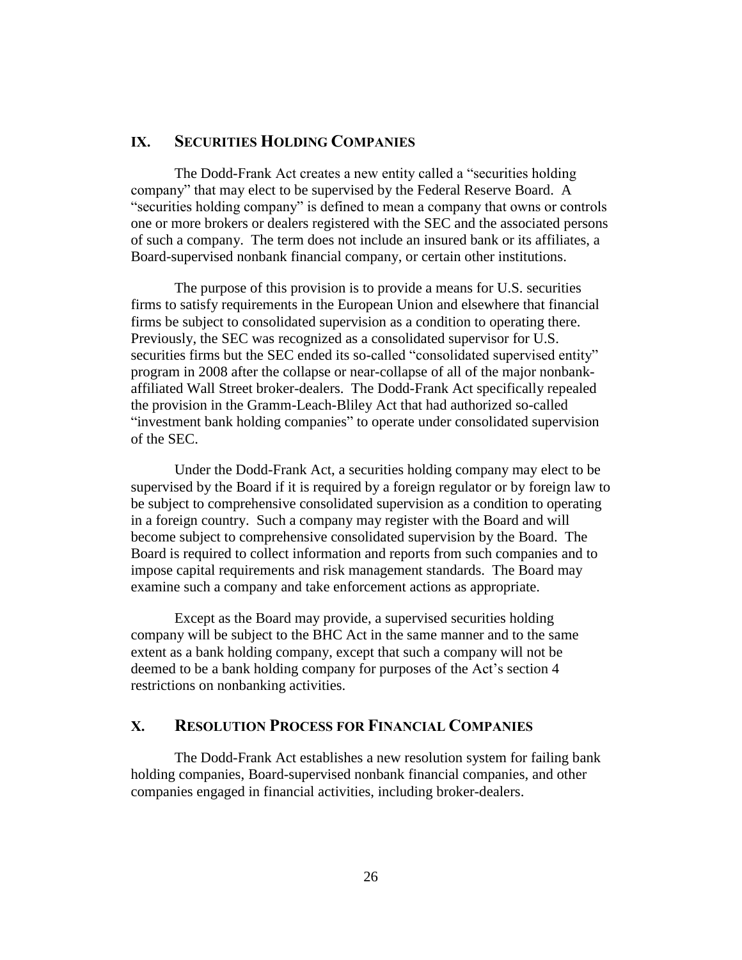# <span id="page-28-0"></span>**IX. SECURITIES HOLDING COMPANIES**

The Dodd-Frank Act creates a new entity called a "securities holding company" that may elect to be supervised by the Federal Reserve Board. A "securities holding company" is defined to mean a company that owns or controls one or more brokers or dealers registered with the SEC and the associated persons of such a company. The term does not include an insured bank or its affiliates, a Board-supervised nonbank financial company, or certain other institutions.

The purpose of this provision is to provide a means for U.S. securities firms to satisfy requirements in the European Union and elsewhere that financial firms be subject to consolidated supervision as a condition to operating there. Previously, the SEC was recognized as a consolidated supervisor for U.S. securities firms but the SEC ended its so-called "consolidated supervised entity" program in 2008 after the collapse or near-collapse of all of the major nonbankaffiliated Wall Street broker-dealers. The Dodd-Frank Act specifically repealed the provision in the Gramm-Leach-Bliley Act that had authorized so-called "investment bank holding companies" to operate under consolidated supervision of the SEC.

Under the Dodd-Frank Act, a securities holding company may elect to be supervised by the Board if it is required by a foreign regulator or by foreign law to be subject to comprehensive consolidated supervision as a condition to operating in a foreign country. Such a company may register with the Board and will become subject to comprehensive consolidated supervision by the Board. The Board is required to collect information and reports from such companies and to impose capital requirements and risk management standards. The Board may examine such a company and take enforcement actions as appropriate.

Except as the Board may provide, a supervised securities holding company will be subject to the BHC Act in the same manner and to the same extent as a bank holding company, except that such a company will not be deemed to be a bank holding company for purposes of the Act's section 4 restrictions on nonbanking activities.

# <span id="page-28-1"></span>**X. RESOLUTION PROCESS FOR FINANCIAL COMPANIES**

The Dodd-Frank Act establishes a new resolution system for failing bank holding companies, Board-supervised nonbank financial companies, and other companies engaged in financial activities, including broker-dealers.